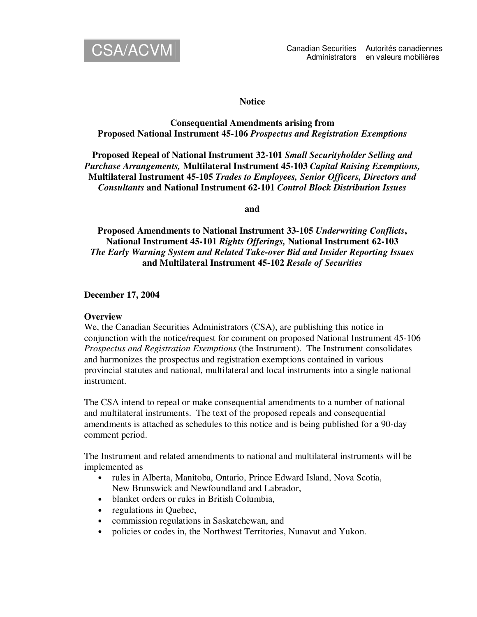

### **Notice**

## **Consequential Amendments arising from Proposed National Instrument 45-106** *Prospectus and Registration Exemptions*

**Proposed Repeal of National Instrument 32-101** *Small Securityholder Selling and Purchase Arrangements,* **Multilateral Instrument 45-103** *Capital Raising Exemptions,* **Multilateral Instrument 45-105** *Trades to Employees, Senior Officers, Directors and Consultants* **and National Instrument 62-101** *Control Block Distribution Issues*

**and**

**Proposed Amendments to National Instrument 33-105** *Underwriting Conflicts***, National Instrument 45-101** *Rights Offerings,* **National Instrument 62-103** *The Early Warning System and Related Take-over Bid and Insider Reporting Issues* **and Multilateral Instrument 45-102** *Resale of Securities*

**December 17, 2004**

### **Overview**

We, the Canadian Securities Administrators (CSA), are publishing this notice in conjunction with the notice/request for comment on proposed National Instrument 45-106 *Prospectus and Registration Exemptions* (the Instrument). The Instrument consolidates and harmonizes the prospectus and registration exemptions contained in various provincial statutes and national, multilateral and local instruments into a single national instrument.

The CSA intend to repeal or make consequential amendments to a number of national and multilateral instruments. The text of the proposed repeals and consequential amendments is attached as schedules to this notice and is being published for a 90-day comment period.

The Instrument and related amendments to national and multilateral instruments will be implemented as

- rules in Alberta, Manitoba, Ontario, Prince Edward Island, Nova Scotia, New Brunswick and Newfoundland and Labrador,
- blanket orders or rules in British Columbia,
- regulations in Quebec,
- commission regulations in Saskatchewan, and
- policies or codes in, the Northwest Territories, Nunavut and Yukon.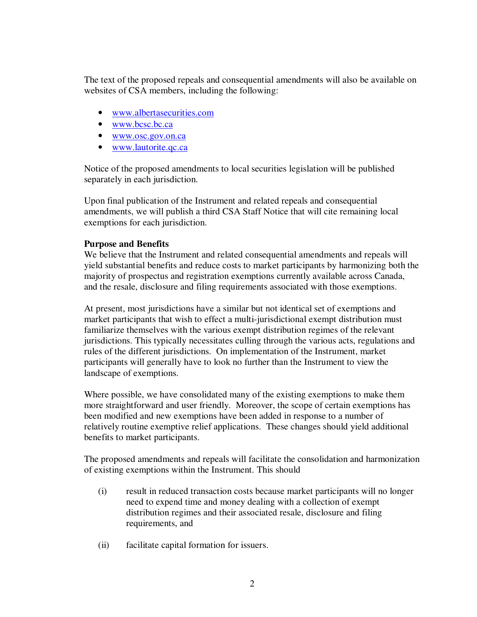The text of the proposed repeals and consequential amendments will also be available on websites of CSA members, including the following:

- www.albertasecurities.com
- www.bcsc.bc.ca
- www.osc.gov.on.ca
- www.lautorite.qc.ca

Notice of the proposed amendments to local securities legislation will be published separately in each jurisdiction.

Upon final publication of the Instrument and related repeals and consequential amendments, we will publish a third CSA Staff Notice that will cite remaining local exemptions for each jurisdiction.

# **Purpose and Benefits**

We believe that the Instrument and related consequential amendments and repeals will yield substantial benefits and reduce costs to market participants by harmonizing both the majority of prospectus and registration exemptions currently available across Canada, and the resale, disclosure and filing requirements associated with those exemptions.

At present, most jurisdictions have a similar but not identical set of exemptions and market participants that wish to effect a multi-jurisdictional exempt distribution must familiarize themselves with the various exempt distribution regimes of the relevant jurisdictions. This typically necessitates culling through the various acts, regulations and rules of the different jurisdictions. On implementation of the Instrument, market participants will generally have to look no further than the Instrument to view the landscape of exemptions.

Where possible, we have consolidated many of the existing exemptions to make them more straightforward and user friendly. Moreover, the scope of certain exemptions has been modified and new exemptions have been added in response to a number of relatively routine exemptive relief applications. These changes should yield additional benefits to market participants.

The proposed amendments and repeals will facilitate the consolidation and harmonization of existing exemptions within the Instrument. This should

- (i) result in reduced transaction costs because market participants will no longer need to expend time and money dealing with a collection of exempt distribution regimes and their associated resale, disclosure and filing requirements, and
- (ii) facilitate capital formation for issuers.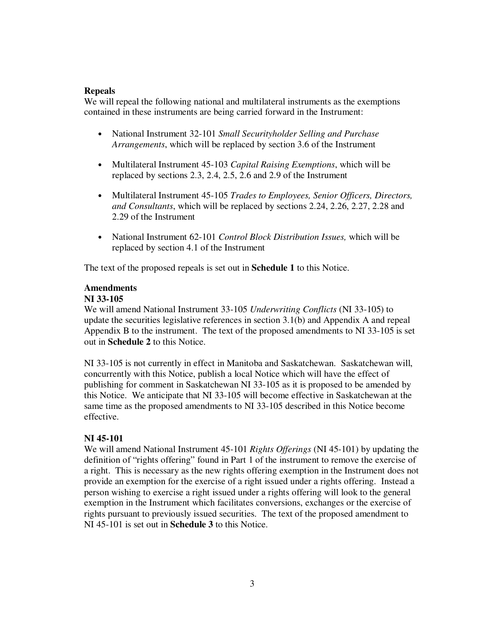## **Repeals**

We will repeal the following national and multilateral instruments as the exemptions contained in these instruments are being carried forward in the Instrument:

- National Instrument 32-101 *Small Securityholder Selling and Purchase Arrangements*, which will be replaced by section 3.6 of the Instrument
- Multilateral Instrument 45-103 *Capital Raising Exemptions*, which will be replaced by sections 2.3, 2.4, 2.5, 2.6 and 2.9 of the Instrument
- Multilateral Instrument 45-105 *Trades to Employees, Senior Officers, Directors, and Consultants*, which will be replaced by sections 2.24, 2.26, 2.27, 2.28 and 2.29 of the Instrument
- National Instrument 62-101 *Control Block Distribution Issues,* which will be replaced by section 4.1 of the Instrument

The text of the proposed repeals is set out in **Schedule 1** to this Notice.

# **Amendments**

### **NI 33-105**

We will amend National Instrument 33-105 *Underwriting Conflicts* (NI 33-105) to update the securities legislative references in section 3.1(b) and Appendix A and repeal Appendix B to the instrument. The text of the proposed amendments to NI 33-105 is set out in **Schedule 2** to this Notice.

NI 33-105 is not currently in effect in Manitoba and Saskatchewan. Saskatchewan will, concurrently with this Notice, publish a local Notice which will have the effect of publishing for comment in Saskatchewan NI 33-105 as it is proposed to be amended by this Notice. We anticipate that NI 33-105 will become effective in Saskatchewan at the same time as the proposed amendments to NI 33-105 described in this Notice become effective.

## **NI 45-101**

We will amend National Instrument 45-101 *Rights Offerings* (NI 45-101) by updating the definition of "rights offering" found in Part 1 of the instrument to remove the exercise of a right. This is necessary as the new rights offering exemption in the Instrument does not provide an exemption for the exercise of a right issued under a rights offering. Instead a person wishing to exercise a right issued under a rights offering will look to the general exemption in the Instrument which facilitates conversions, exchanges or the exercise of rights pursuant to previously issued securities. The text of the proposed amendment to NI 45-101 is set out in **Schedule 3** to this Notice.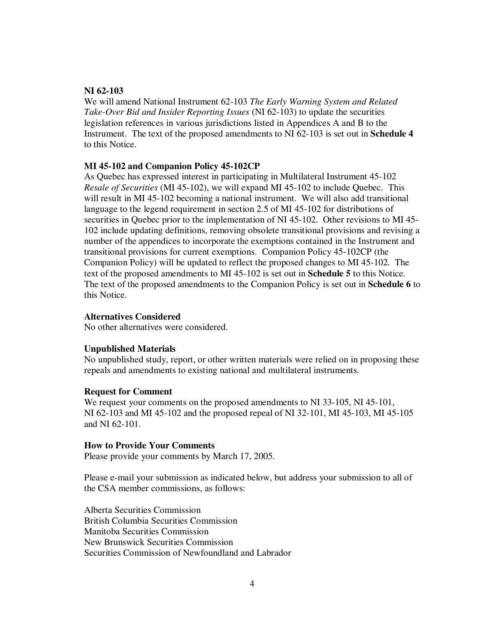## **NI 62-103**

We will amend National Instrument 62-103 *The Early Warning System and Related Take-Over Bid and Insider Reporting Issues* (NI 62-103) to update the securities legislation references in various jurisdictions listed in Appendices A and B to the Instrument. The text of the proposed amendments to NI 62-103 is set out in **Schedule 4** to this Notice.

### **MI 45-102 and Companion Policy 45-102CP**

As Quebec has expressed interest in participating in Multilateral Instrument 45-102 *Resale of Securities* (MI 45-102), we will expand MI 45-102 to include Quebec. This will result in MI 45-102 becoming a national instrument. We will also add transitional language to the legend requirement in section 2.5 of MI 45-102 for distributions of securities in Quebec prior to the implementation of NI 45-102. Other revisions to MI 45- 102 include updating definitions, removing obsolete transitional provisions and revising a number of the appendices to incorporate the exemptions contained in the Instrument and transitional provisions for current exemptions. Companion Policy 45-102CP (the Companion Policy) will be updated to reflect the proposed changes to MI 45-102. The text of the proposed amendments to MI 45-102 is set out in **Schedule 5** to this Notice. The text of the proposed amendments to the Companion Policy is set out in **Schedule 6** to this Notice.

### **Alternatives Considered**

No other alternatives were considered.

## **Unpublished Materials**

No unpublished study, report, or other written materials were relied on in proposing these repeals and amendments to existing national and multilateral instruments.

### **Request for Comment**

We request your comments on the proposed amendments to NI 33-105, NI 45-101, NI 62-103 and MI 45-102 and the proposed repeal of NI 32-101, MI 45-103, MI 45-105 and NI 62-101.

### **How to Provide Your Comments**

Please provide your comments by March 17, 2005.

Please e-mail your submission as indicated below, but address your submission to all of the CSA member commissions, as follows:

Alberta Securities Commission British Columbia Securities Commission Manitoba Securities Commission New Brunswick Securities Commission Securities Commission of Newfoundland and Labrador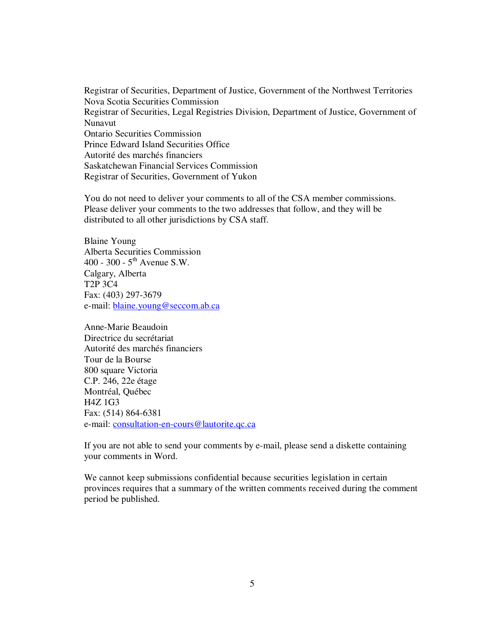Registrar of Securities, Department of Justice, Government of the Northwest Territories Nova Scotia Securities Commission Registrar of Securities, Legal Registries Division, Department of Justice, Government of Nunavut Ontario Securities Commission Prince Edward Island Securities Office Autorité des marchés financiers Saskatchewan Financial Services Commission Registrar of Securities, Government of Yukon

You do not need to deliver your comments to all of the CSA member commissions. Please deliver your comments to the two addresses that follow, and they will be distributed to all other jurisdictions by CSA staff.

Blaine Young Alberta Securities Commission 400 - 300 -  $5^{\text{th}}$  Avenue S.W. Calgary, Alberta T2P 3C4 Fax: (403) 297-3679 e-mail: blaine.young@seccom.ab.ca

Anne-Marie Beaudoin Directrice du secrétariat Autorité des marchés financiers Tour de la Bourse 800 square Victoria C.P. 246, 22e étage Montréal, Québec H4Z 1G3 Fax: (514) 864-6381 e-mail: consultation-en-cours@lautorite.qc.ca

If you are not able to send your comments by e-mail, please send a diskette containing your comments in Word.

We cannot keep submissions confidential because securities legislation in certain provinces requires that a summary of the written comments received during the comment period be published.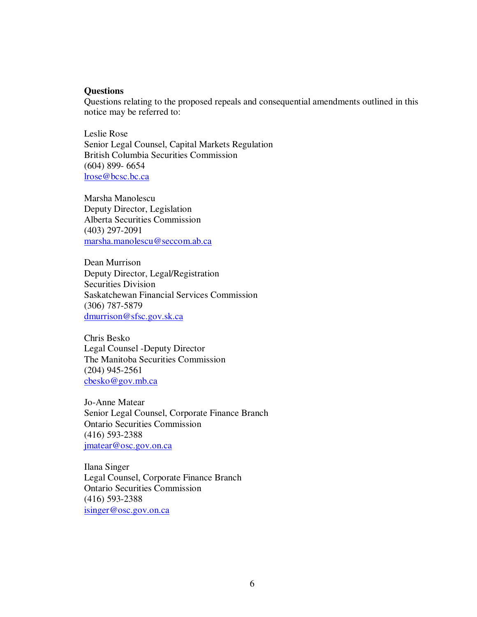### **Questions**

Questions relating to the proposed repeals and consequential amendments outlined in this notice may be referred to:

Leslie Rose Senior Legal Counsel, Capital Markets Regulation British Columbia Securities Commission (604) 899- 6654 lrose@bcsc.bc.ca

Marsha Manolescu Deputy Director, Legislation Alberta Securities Commission (403) 297-2091 marsha.manolescu@seccom.ab.ca

Dean Murrison Deputy Director, Legal/Registration Securities Division Saskatchewan Financial Services Commission (306) 787-5879 dmurrison@sfsc.gov.sk.ca

Chris Besko Legal Counsel -Deputy Director The Manitoba Securities Commission (204) 945-2561 cbesko@gov.mb.ca

Jo-Anne Matear Senior Legal Counsel, Corporate Finance Branch Ontario Securities Commission (416) 593-2388 jmatear@osc.gov.on.ca

Ilana Singer Legal Counsel, Corporate Finance Branch Ontario Securities Commission (416) 593-2388 isinger@osc.gov.on.ca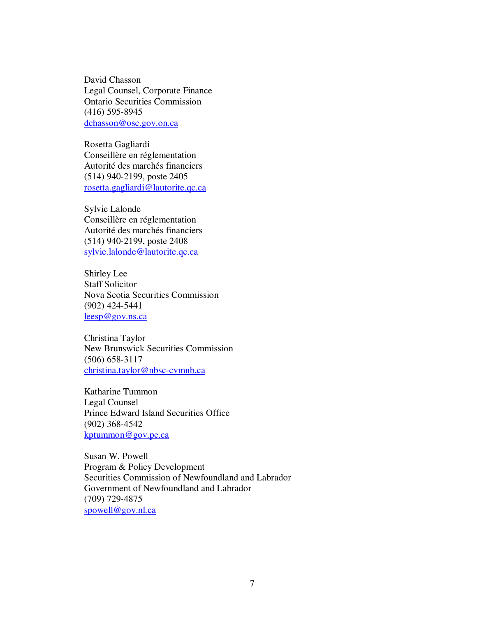David Chasson Legal Counsel, Corporate Finance Ontario Securities Commission (416) 595-8945 dchasson@osc.gov.on.ca

Rosetta Gagliardi Conseillère en réglementation Autorité des marchés financiers (514) 940-2199, poste 2405 rosetta.gagliardi@lautorite.qc.ca

Sylvie Lalonde Conseillère en réglementation Autorité des marchés financiers (514) 940-2199, poste 2408 sylvie.lalonde@lautorite.qc.ca

Shirley Lee Staff Solicitor Nova Scotia Securities Commission (902) 424-5441 leesp@gov.ns.ca

Christina Taylor New Brunswick Securities Commission (506) 658-3117 christina.taylor@nbsc-cvmnb.ca

Katharine Tummon Legal Counsel Prince Edward Island Securities Office (902) 368-4542 kptummon@gov.pe.ca

Susan W. Powell Program & Policy Development Securities Commission of Newfoundland and Labrador Government of Newfoundland and Labrador (709) 729-4875 spowell@gov.nl.ca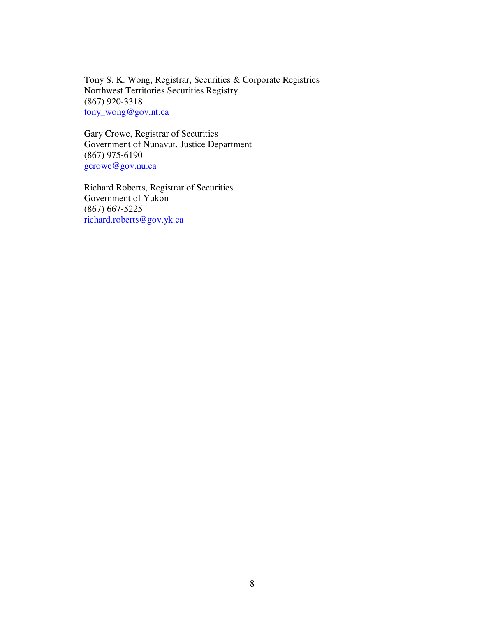Tony S. K. Wong, Registrar, Securities & Corporate Registries Northwest Territories Securities Registry (867) 920-3318 tony\_wong@gov.nt.ca

Gary Crowe, Registrar of Securities Government of Nunavut, Justice Department (867) 975-6190 gcrowe@gov.nu.ca

Richard Roberts, Registrar of Securities Government of Yukon (867) 667-5225 richard.roberts@gov.yk.ca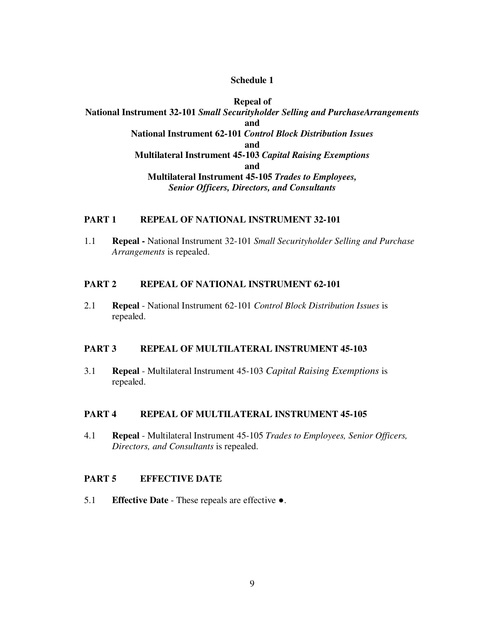### **Schedule 1**

**Repeal of National Instrument 32-101** *Small Securityholder Selling and PurchaseArrangements* **and National Instrument 62-101** *Control Block Distribution Issues* **and Multilateral Instrument 45-103** *Capital Raising Exemptions* **and Multilateral Instrument 45-105** *Trades to Employees, Senior Officers, Directors, and Consultants*

# **PART 1 REPEAL OF NATIONAL INSTRUMENT 32-101**

1.1 **Repeal -** National Instrument 32-101 *Small Securityholder Selling and Purchase Arrangements* is repealed.

### **PART 2 REPEAL OF NATIONAL INSTRUMENT 62-101**

2.1 **Repeal** - National Instrument 62-101 *Control Block Distribution Issues* is repealed.

### **PART 3 REPEAL OF MULTILATERAL INSTRUMENT 45-103**

3.1 **Repeal** - Multilateral Instrument 45-103 *Capital Raising Exemptions* is repealed.

### **PART 4 REPEAL OF MULTILATERAL INSTRUMENT 45-105**

4.1 **Repeal** - Multilateral Instrument 45-105 *Trades to Employees, Senior Officers, Directors, and Consultants* is repealed.

### **PART 5 EFFECTIVE DATE**

5.1 **Effective Date** - These repeals are effective .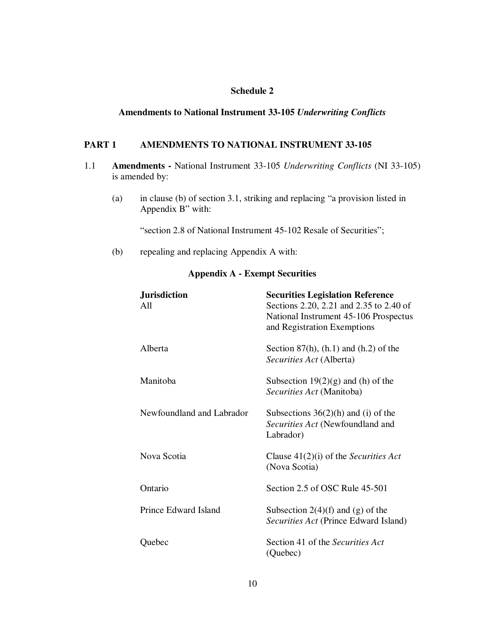# **Schedule 2**

### **Amendments to National Instrument 33-105** *Underwriting Conflicts*

### **PART 1 AMENDMENTS TO NATIONAL INSTRUMENT 33-105**

- 1.1 **Amendments -** National Instrument 33-105 *Underwriting Conflicts* (NI 33-105) is amended by:
	- (a) in clause (b) of section 3.1, striking and replacing "a provision listed in Appendix B" with:

"section 2.8 of National Instrument 45-102 Resale of Securities";

(b) repealing and replacing Appendix A with:

## **Appendix A - Exempt Securities**

| <b>Jurisdiction</b><br>A11 | <b>Securities Legislation Reference</b><br>Sections 2.20, 2.21 and 2.35 to 2.40 of<br>National Instrument 45-106 Prospectus<br>and Registration Exemptions |
|----------------------------|------------------------------------------------------------------------------------------------------------------------------------------------------------|
| Alberta                    | Section 87(h), $(h.1)$ and $(h.2)$ of the<br>Securities Act (Alberta)                                                                                      |
| Manitoba                   | Subsection $19(2)(g)$ and (h) of the<br>Securities Act (Manitoba)                                                                                          |
| Newfoundland and Labrador  | Subsections $36(2)(h)$ and (i) of the<br>Securities Act (Newfoundland and<br>Labrador)                                                                     |
| Nova Scotia                | Clause $41(2)(i)$ of the <i>Securities Act</i><br>(Nova Scotia)                                                                                            |
| Ontario                    | Section 2.5 of OSC Rule 45-501                                                                                                                             |
| Prince Edward Island       | Subsection $2(4)(f)$ and $(g)$ of the<br>Securities Act (Prince Edward Island)                                                                             |
| Quebec                     | Section 41 of the Securities Act<br>(Quebec)                                                                                                               |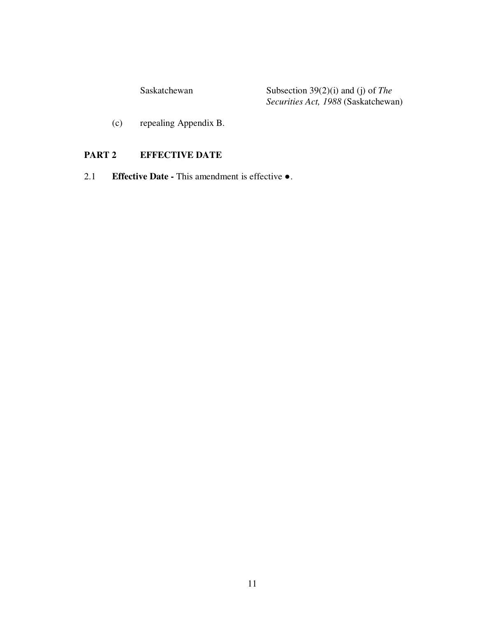Saskatchewan Subsection 39(2)(i) and (j) of *The Securities Act, 1988* (Saskatchewan)

(c) repealing Appendix B.

# **PART 2 EFFECTIVE DATE**

2.1 **Effective Date -** This amendment is effective .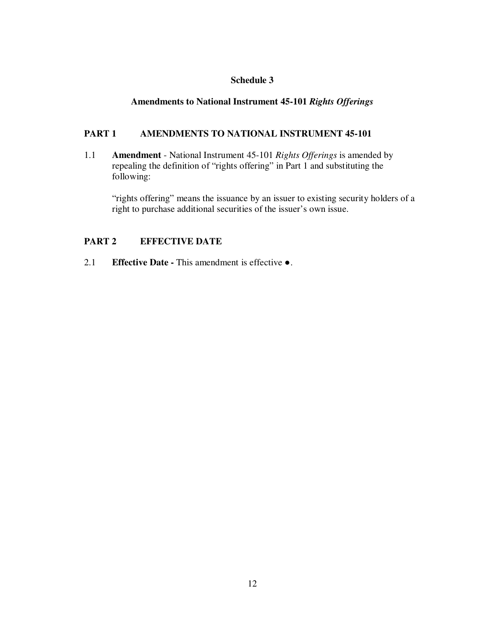# **Schedule 3**

# **Amendments to National Instrument 45-101** *Rights Offerings*

# **PART 1 AMENDMENTS TO NATIONAL INSTRUMENT 45-101**

1.1 **Amendment** - National Instrument 45-101 *Rights Offerings* is amended by repealing the definition of "rights offering" in Part 1 and substituting the following:

"rights offering" means the issuance by an issuer to existing security holders of a right to purchase additional securities of the issuer's own issue.

# **PART 2 EFFECTIVE DATE**

2.1 **Effective Date -** This amendment is effective .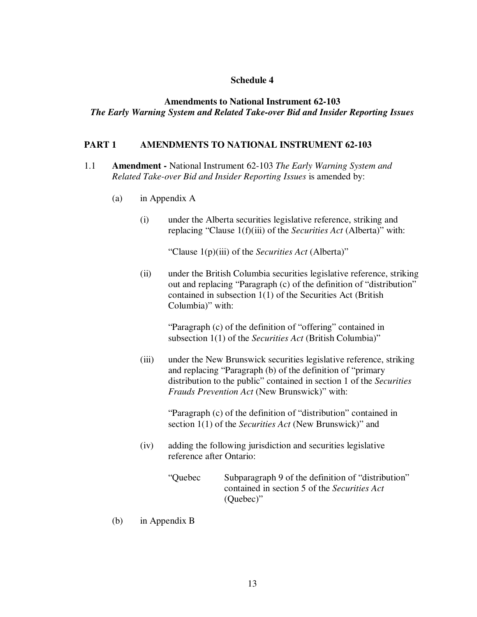### **Schedule 4**

## **Amendments to National Instrument 62-103** *The Early Warning System and Related Take-over Bid and Insider Reporting Issues*

### **PART 1 AMENDMENTS TO NATIONAL INSTRUMENT 62-103**

- 1.1 **Amendment -** National Instrument 62-103 *The Early Warning System and Related Take-over Bid and Insider Reporting Issues* is amended by:
	- (a) in Appendix A
		- (i) under the Alberta securities legislative reference, striking and replacing "Clause 1(f)(iii) of the *Securities Act* (Alberta)" with:

"Clause 1(p)(iii) of the *Securities Act* (Alberta)"

(ii) under the British Columbia securities legislative reference, striking out and replacing "Paragraph (c) of the definition of "distribution" contained in subsection 1(1) of the Securities Act (British Columbia)" with:

"Paragraph (c) of the definition of "offering" contained in subsection 1(1) of the *Securities Act* (British Columbia)"

(iii) under the New Brunswick securities legislative reference, striking and replacing "Paragraph (b) of the definition of "primary distribution to the public" contained in section 1 of the *Securities Frauds Prevention Act* (New Brunswick)" with:

> "Paragraph (c) of the definition of "distribution" contained in section 1(1) of the *Securities Act* (New Brunswick)" and

- (iv) adding the following jurisdiction and securities legislative reference after Ontario:
	- "Quebec Subparagraph 9 of the definition of "distribution" contained in section 5 of the *Securities Act* (Quebec)"
- (b) in Appendix B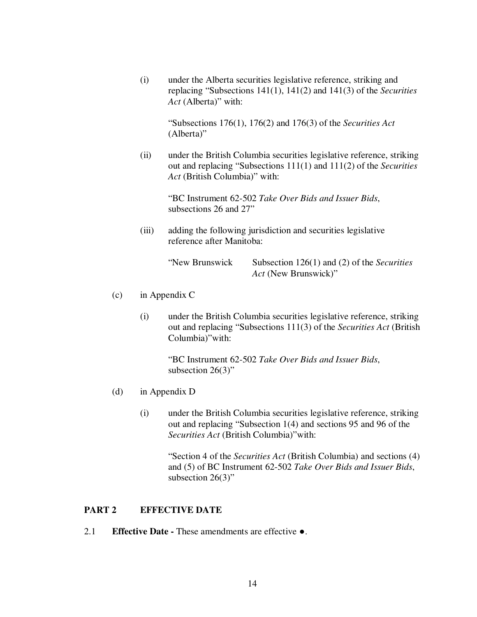(i) under the Alberta securities legislative reference, striking and replacing "Subsections 141(1), 141(2) and 141(3) of the *Securities Act* (Alberta)" with:

"Subsections 176(1), 176(2) and 176(3) of the *Securities Act* (Alberta)"

(ii) under the British Columbia securities legislative reference, striking out and replacing "Subsections 111(1) and 111(2) of the *Securities Act* (British Columbia)" with:

> "BC Instrument 62-502 *Take Over Bids and Issuer Bids*, subsections 26 and 27"

(iii) adding the following jurisdiction and securities legislative reference after Manitoba:

"New Brunswick Subsection 126(1) and (2) of the *Securities Act* (New Brunswick)"

- (c) in Appendix C
	- (i) under the British Columbia securities legislative reference, striking out and replacing "Subsections 111(3) of the *Securities Act* (British Columbia)"with:

"BC Instrument 62-502 *Take Over Bids and Issuer Bids*, subsection 26(3)"

- (d) in Appendix D
	- (i) under the British Columbia securities legislative reference, striking out and replacing "Subsection 1(4) and sections 95 and 96 of the *Securities Act* (British Columbia)"with:

"Section 4 of the *Securities Act* (British Columbia) and sections (4) and (5) of BC Instrument 62-502 *Take Over Bids and Issuer Bids*, subsection 26(3)"

# **PART 2 EFFECTIVE DATE**

2.1 **Effective Date -** These amendments are effective .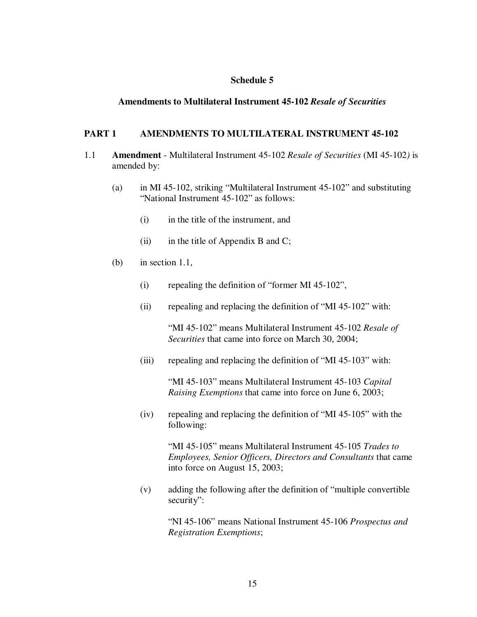### **Schedule 5**

### **Amendments to Multilateral Instrument 45-102** *Resale of Securities*

### **PART 1 AMENDMENTS TO MULTILATERAL INSTRUMENT 45-102**

- 1.1 **Amendment** Multilateral Instrument 45-102 *Resale of Securities* (MI 45-102*)* is amended by:
	- (a) in MI 45-102, striking "Multilateral Instrument 45-102" and substituting "National Instrument 45-102" as follows:
		- (i) in the title of the instrument, and
		- (ii) in the title of Appendix B and C;
	- (b) in section 1.1,
		- (i) repealing the definition of "former MI 45-102",
		- (ii) repealing and replacing the definition of "MI 45-102" with:

"MI 45-102" means Multilateral Instrument 45-102 *Resale of Securities* that came into force on March 30, 2004;

(iii) repealing and replacing the definition of "MI 45-103" with:

"MI 45-103" means Multilateral Instrument 45-103 *Capital Raising Exemptions* that came into force on June 6, 2003;

(iv) repealing and replacing the definition of "MI 45-105" with the following:

> "MI 45-105" means Multilateral Instrument 45-105 *Trades to Employees, Senior Officers, Directors and Consultants* that came into force on August 15, 2003;

(v) adding the following after the definition of "multiple convertible security":

> "NI 45-106" means National Instrument 45-106 *Prospectus and Registration Exemptions*;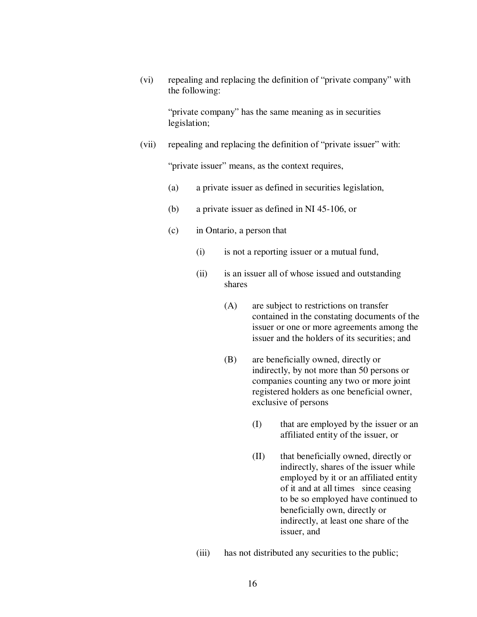(vi) repealing and replacing the definition of "private company" with the following:

> "private company" has the same meaning as in securities legislation;

(vii) repealing and replacing the definition of "private issuer" with:

"private issuer" means, as the context requires,

- (a) a private issuer as defined in securities legislation,
- (b) a private issuer as defined in NI 45-106, or
- (c) in Ontario, a person that
	- (i) is not a reporting issuer or a mutual fund,
	- (ii) is an issuer all of whose issued and outstanding shares
		- (A) are subject to restrictions on transfer contained in the constating documents of the issuer or one or more agreements among the issuer and the holders of its securities; and
		- (B) are beneficially owned, directly or indirectly, by not more than 50 persons or companies counting any two or more joint registered holders as one beneficial owner, exclusive of persons
			- (I) that are employed by the issuer or an affiliated entity of the issuer, or
			- (II) that beneficially owned, directly or indirectly, shares of the issuer while employed by it or an affiliated entity of it and at all times since ceasing to be so employed have continued to beneficially own, directly or indirectly, at least one share of the issuer, and
	- (iii) has not distributed any securities to the public;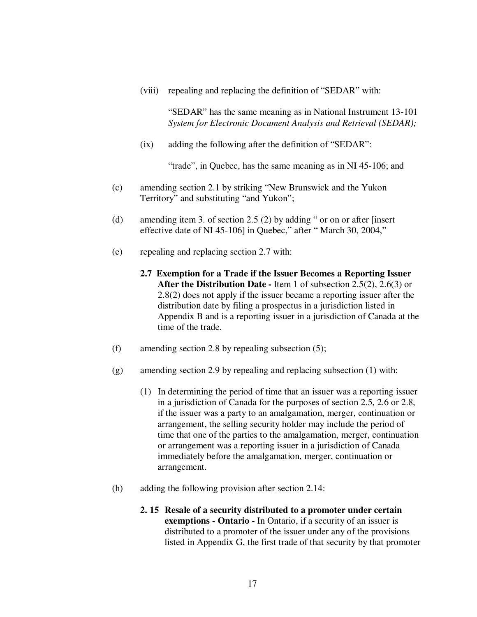(viii) repealing and replacing the definition of "SEDAR" with:

"SEDAR" has the same meaning as in National Instrument 13-101 *System for Electronic Document Analysis and Retrieval (SEDAR);*

(ix) adding the following after the definition of "SEDAR":

"trade", in Quebec, has the same meaning as in NI 45-106; and

- (c) amending section 2.1 by striking "New Brunswick and the Yukon Territory" and substituting "and Yukon";
- (d) amending item 3. of section 2.5 (2) by adding " or on or after [insert effective date of NI 45-106] in Quebec," after " March 30, 2004,"
- (e) repealing and replacing section 2.7 with:
	- **2.7 Exemption for a Trade if the Issuer Becomes a Reporting Issuer After the Distribution Date -** Item 1 of subsection 2.5(2), 2.6(3) or 2.8(2) does not apply if the issuer became a reporting issuer after the distribution date by filing a prospectus in a jurisdiction listed in Appendix B and is a reporting issuer in a jurisdiction of Canada at the time of the trade.
- (f) amending section 2.8 by repealing subsection (5);
- (g) amending section 2.9 by repealing and replacing subsection (1) with:
	- (1) In determining the period of time that an issuer was a reporting issuer in a jurisdiction of Canada for the purposes of section 2.5, 2.6 or 2.8, if the issuer was a party to an amalgamation, merger, continuation or arrangement, the selling security holder may include the period of time that one of the parties to the amalgamation, merger, continuation or arrangement was a reporting issuer in a jurisdiction of Canada immediately before the amalgamation, merger, continuation or arrangement.
- (h) adding the following provision after section 2.14:
	- **2. 15 Resale of a security distributed to a promoter under certain exemptions - Ontario -** In Ontario, if a security of an issuer is distributed to a promoter of the issuer under any of the provisions listed in Appendix G, the first trade of that security by that promoter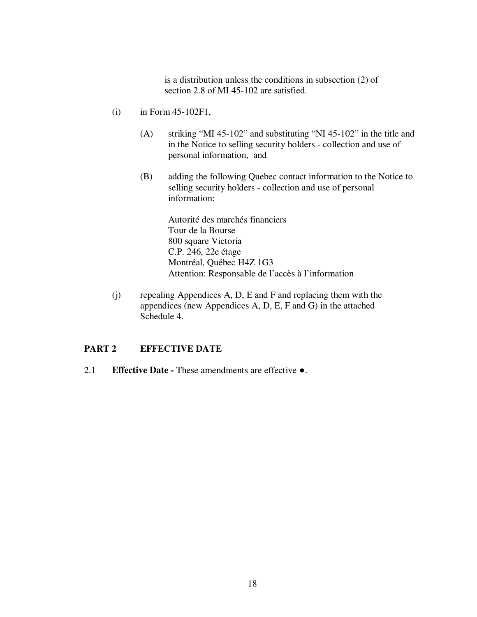is a distribution unless the conditions in subsection (2) of section 2.8 of MI 45-102 are satisfied.

- (i) in Form 45-102F1,
	- (A) striking "MI 45-102" and substituting "NI 45-102" in the title and in the Notice to selling security holders - collection and use of personal information, and
	- (B) adding the following Quebec contact information to the Notice to selling security holders - collection and use of personal information:

Autorité des marchés financiers Tour de la Bourse 800 square Victoria C.P. 246, 22e étage Montréal, Québec H4Z 1G3 Attention: Responsable de l'accès à l'information

(j) repealing Appendices A, D, E and F and replacing them with the appendices (new Appendices A, D, E, F and G) in the attached Schedule 4.

## **PART 2 EFFECTIVE DATE**

2.1 **Effective Date -** These amendments are effective .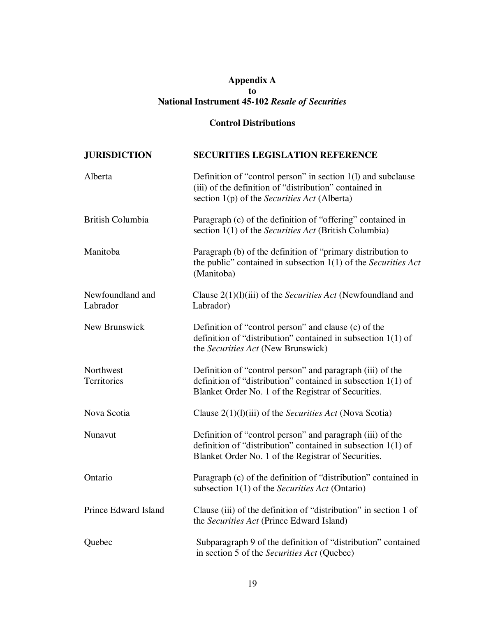# **Appendix A to National Instrument 45-102** *Resale of Securities*

# **Control Distributions**

| <b>JURISDICTION</b>          | <b>SECURITIES LEGISLATION REFERENCE</b>                                                                                                                                            |
|------------------------------|------------------------------------------------------------------------------------------------------------------------------------------------------------------------------------|
| Alberta                      | Definition of "control person" in section 1(1) and subclause<br>(iii) of the definition of "distribution" contained in<br>section 1(p) of the Securities Act (Alberta)             |
| <b>British Columbia</b>      | Paragraph (c) of the definition of "offering" contained in<br>section 1(1) of the Securities Act (British Columbia)                                                                |
| Manitoba                     | Paragraph (b) of the definition of "primary distribution to<br>the public" contained in subsection $1(1)$ of the Securities Act<br>(Manitoba)                                      |
| Newfoundland and<br>Labrador | Clause $2(1)(1)(iii)$ of the <i>Securities Act</i> (Newfoundland and<br>Labrador)                                                                                                  |
| New Brunswick                | Definition of "control person" and clause (c) of the<br>definition of "distribution" contained in subsection $1(1)$ of<br>the Securities Act (New Brunswick)                       |
| Northwest<br>Territories     | Definition of "control person" and paragraph (iii) of the<br>definition of "distribution" contained in subsection $1(1)$ of<br>Blanket Order No. 1 of the Registrar of Securities. |
| Nova Scotia                  | Clause $2(1)(1)(iii)$ of the <i>Securities Act</i> (Nova Scotia)                                                                                                                   |
| Nunavut                      | Definition of "control person" and paragraph (iii) of the<br>definition of "distribution" contained in subsection $1(1)$ of<br>Blanket Order No. 1 of the Registrar of Securities. |
| Ontario                      | Paragraph (c) of the definition of "distribution" contained in<br>subsection $1(1)$ of the <i>Securities Act</i> (Ontario)                                                         |
| Prince Edward Island         | Clause (iii) of the definition of "distribution" in section 1 of<br>the <i>Securities Act</i> (Prince Edward Island)                                                               |
| Quebec                       | Subparagraph 9 of the definition of "distribution" contained<br>in section 5 of the <i>Securities Act</i> (Quebec)                                                                 |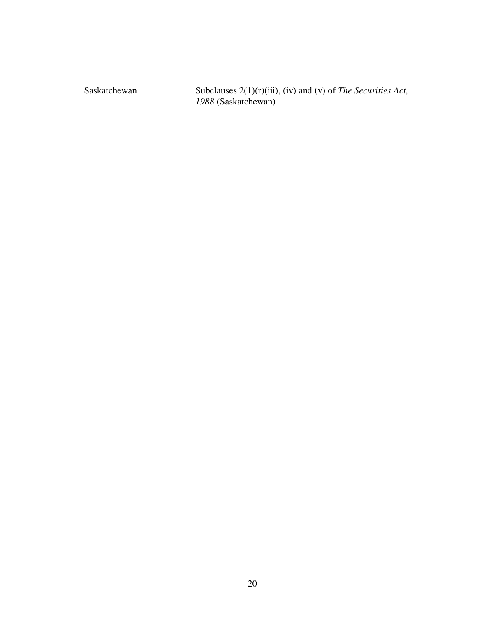Saskatchewan Subclauses 2(1)(r)(iii), (iv) and (v) of *The Securities Act*, (Saskatchewan)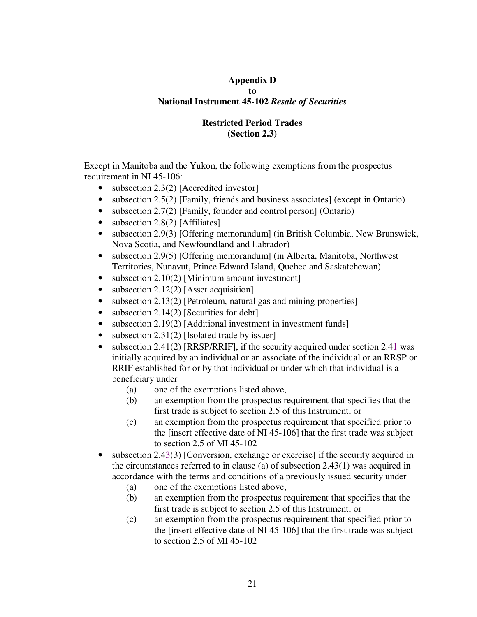# **Appendix D to National Instrument 45-102** *Resale of Securities*

# **Restricted Period Trades (Section 2.3)**

Except in Manitoba and the Yukon, the following exemptions from the prospectus requirement in NI 45-106:

- subsection  $2.3(2)$  [Accredited investor]
- subsection 2.5(2) [Family, friends and business associates] (except in Ontario)
- subsection 2.7(2) [Family, founder and control person] (Ontario)
- subsection 2.8(2) [Affiliates]
- subsection 2.9(3) [Offering memorandum] (in British Columbia, New Brunswick, Nova Scotia, and Newfoundland and Labrador)
- subsection 2.9(5) [Offering memorandum] (in Alberta, Manitoba, Northwest Territories, Nunavut, Prince Edward Island, Quebec and Saskatchewan)
- subsection 2.10(2) [Minimum amount investment]
- subsection 2.12(2) [Asset acquisition]
- subsection 2.13(2) [Petroleum, natural gas and mining properties]
- subsection  $2.14(2)$  [Securities for debt]
- subsection 2.19(2) [Additional investment in investment funds]
- subsection 2.31(2) [Isolated trade by issuer]
- subsection 2.41(2) [RRSP/RRIF], if the security acquired under section 2.41 was initially acquired by an individual or an associate of the individual or an RRSP or RRIF established for or by that individual or under which that individual is a beneficiary under
	- (a) one of the exemptions listed above,
	- (b) an exemption from the prospectus requirement that specifies that the first trade is subject to section 2.5 of this Instrument, or
	- (c) an exemption from the prospectus requirement that specified prior to the [insert effective date of NI 45-106] that the first trade was subject to section 2.5 of MI 45-102
- subsection 2.43(3) [Conversion, exchange or exercise] if the security acquired in the circumstances referred to in clause (a) of subsection 2.43(1) was acquired in accordance with the terms and conditions of a previously issued security under
	- (a) one of the exemptions listed above,
	- (b) an exemption from the prospectus requirement that specifies that the first trade is subject to section 2.5 of this Instrument, or
	- (c) an exemption from the prospectus requirement that specified prior to the [insert effective date of NI 45-106] that the first trade was subject to section 2.5 of MI 45-102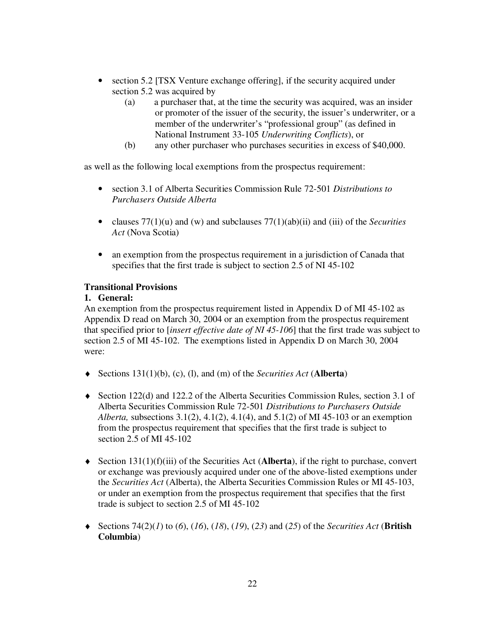- section 5.2 [TSX Venture exchange offering], if the security acquired under section 5.2 was acquired by
	- (a) a purchaser that, at the time the security was acquired, was an insider or promoter of the issuer of the security, the issuer's underwriter, or a member of the underwriter's "professional group" (as defined in National Instrument 33-105 *Underwriting Conflicts*), or
	- (b) any other purchaser who purchases securities in excess of \$40,000.

as well as the following local exemptions from the prospectus requirement:

- section 3.1 of Alberta Securities Commission Rule 72-501 *Distributions to Purchasers Outside Alberta*
- clauses 77(1)(u) and (w) and subclauses 77(1)(ab)(ii) and (iii) of the *Securities Act* (Nova Scotia)
- an exemption from the prospectus requirement in a jurisdiction of Canada that specifies that the first trade is subject to section 2.5 of NI 45-102

# **Transitional Provisions**

## **1. General:**

An exemption from the prospectus requirement listed in Appendix D of MI 45-102 as Appendix D read on March 30, 2004 or an exemption from the prospectus requirement that specified prior to [*insert effective date of NI 45-106*] that the first trade was subject to section 2.5 of MI 45-102. The exemptions listed in Appendix D on March 30, 2004 were:

- ♦ Sections 131(1)(b), (c), (l), and (m) of the *Securities Act* (**Alberta**)
- $\blacklozenge$  Section 122(d) and 122.2 of the Alberta Securities Commission Rules, section 3.1 of Alberta Securities Commission Rule 72-501 *Distributions to Purchasers Outside Alberta,* subsections 3.1(2), 4.1(2), 4.1(4), and 5.1(2) of MI 45-103 or an exemption from the prospectus requirement that specifies that the first trade is subject to section 2.5 of MI 45-102
- ♦ Section 131(1)(f)(iii) of the Securities Act (**Alberta**), if the right to purchase, convert or exchange was previously acquired under one of the above-listed exemptions under the *Securities Act* (Alberta), the Alberta Securities Commission Rules or MI 45-103, or under an exemption from the prospectus requirement that specifies that the first trade is subject to section 2.5 of MI 45-102
- ♦ Sections 74(2)(*1*) to (*6*), (*16*), (*18*), (*19*), (*23*) and (*25*) of the *Securities Act* (**British Columbia**)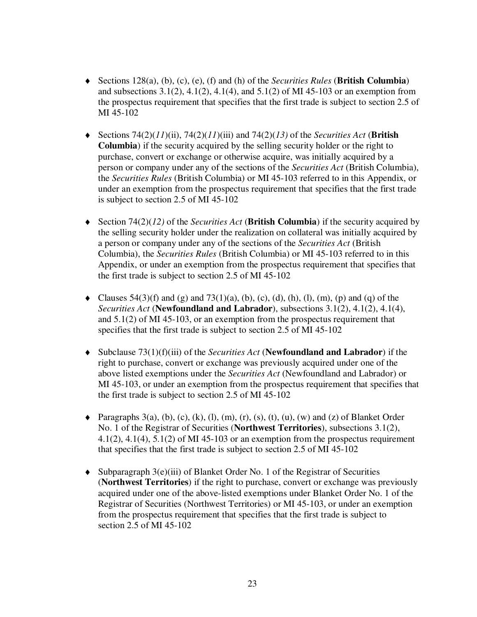- ♦ Sections 128(a), (b), (c), (e), (f) and (h) of the *Securities Rules* (**British Columbia**) and subsections 3.1(2), 4.1(2), 4.1(4), and 5.1(2) of MI 45-103 or an exemption from the prospectus requirement that specifies that the first trade is subject to section 2.5 of MI 45-102
- ♦ Sections 74(2)(*11*)(ii), 74(2)(*11*)(iii) and 74(2)(*13)* of the *Securities Act* (**British Columbia**) if the security acquired by the selling security holder or the right to purchase, convert or exchange or otherwise acquire, was initially acquired by a person or company under any of the sections of the *Securities Act* (British Columbia), the *Securities Rules* (British Columbia) or MI 45-103 referred to in this Appendix, or under an exemption from the prospectus requirement that specifies that the first trade is subject to section 2.5 of MI 45-102
- ♦ Section 74(2)(*12)* of the *Securities Act* (**British Columbia**) if the security acquired by the selling security holder under the realization on collateral was initially acquired by a person or company under any of the sections of the *Securities Act* (British Columbia), the *Securities Rules* (British Columbia) or MI 45-103 referred to in this Appendix, or under an exemption from the prospectus requirement that specifies that the first trade is subject to section 2.5 of MI 45-102
- $\blacklozenge$  Clauses 54(3)(f) and (g) and 73(1)(a), (b), (c), (d), (h), (l), (m), (p) and (q) of the *Securities Act* (**Newfoundland and Labrador**), subsections 3.1(2), 4.1(2), 4.1(4), and 5.1(2) of MI 45-103, or an exemption from the prospectus requirement that specifies that the first trade is subject to section 2.5 of MI 45-102
- ♦ Subclause 73(1)(f)(iii) of the *Securities Act* (**Newfoundland and Labrador**) if the right to purchase, convert or exchange was previously acquired under one of the above listed exemptions under the *Securities Act* (Newfoundland and Labrador) or MI 45-103, or under an exemption from the prospectus requirement that specifies that the first trade is subject to section 2.5 of MI 45-102
- $\blacklozenge$  Paragraphs 3(a), (b), (c), (k), (l), (m), (r), (s), (t), (u), (w) and (z) of Blanket Order No. 1 of the Registrar of Securities (**Northwest Territories**), subsections 3.1(2), 4.1(2), 4.1(4), 5.1(2) of MI 45-103 or an exemption from the prospectus requirement that specifies that the first trade is subject to section 2.5 of MI 45-102
- ♦ Subparagraph 3(e)(iii) of Blanket Order No. 1 of the Registrar of Securities (**Northwest Territories**) if the right to purchase, convert or exchange was previously acquired under one of the above-listed exemptions under Blanket Order No. 1 of the Registrar of Securities (Northwest Territories) or MI 45-103, or under an exemption from the prospectus requirement that specifies that the first trade is subject to section 2.5 of MI 45-102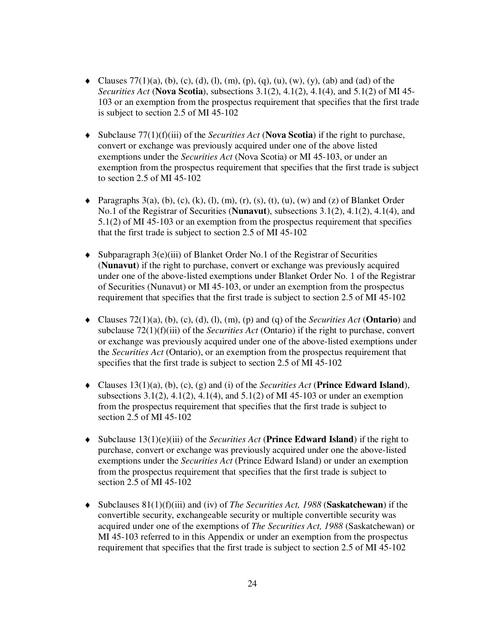- $\blacklozenge$  Clauses 77(1)(a), (b), (c), (d), (l), (m), (p), (q), (u), (w), (y), (ab) and (ad) of the *Securities Act* (**Nova Scotia**), subsections 3.1(2), 4.1(2), 4.1(4), and 5.1(2) of MI 45- 103 or an exemption from the prospectus requirement that specifies that the first trade is subject to section 2.5 of MI 45-102
- ♦ Subclause 77(1)(f)(iii) of the *Securities Act* (**Nova Scotia**) if the right to purchase, convert or exchange was previously acquired under one of the above listed exemptions under the *Securities Act* (Nova Scotia) or MI 45-103, or under an exemption from the prospectus requirement that specifies that the first trade is subject to section 2.5 of MI 45-102
- $\blacklozenge$  Paragraphs 3(a), (b), (c), (k), (l), (m), (r), (s), (t), (u), (w) and (z) of Blanket Order No.1 of the Registrar of Securities (**Nunavut**), subsections 3.1(2), 4.1(2), 4.1(4), and 5.1(2) of MI 45-103 or an exemption from the prospectus requirement that specifies that the first trade is subject to section 2.5 of MI 45-102
- ♦ Subparagraph 3(e)(iii) of Blanket Order No.1 of the Registrar of Securities (**Nunavut**) if the right to purchase, convert or exchange was previously acquired under one of the above-listed exemptions under Blanket Order No. 1 of the Registrar of Securities (Nunavut) or MI 45-103, or under an exemption from the prospectus requirement that specifies that the first trade is subject to section 2.5 of MI 45-102
- ♦ Clauses 72(1)(a), (b), (c), (d), (l), (m), (p) and (q) of the *Securities Act* (**Ontario**) and subclause 72(1)(f)(iii) of the *Securities Act* (Ontario) if the right to purchase, convert or exchange was previously acquired under one of the above-listed exemptions under the *Securities Act* (Ontario), or an exemption from the prospectus requirement that specifies that the first trade is subject to section 2.5 of MI 45-102
- ♦ Clauses 13(1)(a), (b), (c), (g) and (i) of the *Securities Act* (**Prince Edward Island**), subsections 3.1(2), 4.1(2), 4.1(4), and 5.1(2) of MI 45-103 or under an exemption from the prospectus requirement that specifies that the first trade is subject to section 2.5 of MI 45-102
- ♦ Subclause 13(1)(e)(iii) of the *Securities Act* (**Prince Edward Island**) if the right to purchase, convert or exchange was previously acquired under one the above-listed exemptions under the *Securities Act* (Prince Edward Island) or under an exemption from the prospectus requirement that specifies that the first trade is subject to section 2.5 of MI 45-102
- ♦ Subclauses 81(1)(f)(iii) and (iv) of *The Securities Act, 1988* (**Saskatchewan**) if the convertible security, exchangeable security or multiple convertible security was acquired under one of the exemptions of *The Securities Act, 1988* (Saskatchewan) or MI 45-103 referred to in this Appendix or under an exemption from the prospectus requirement that specifies that the first trade is subject to section 2.5 of MI 45-102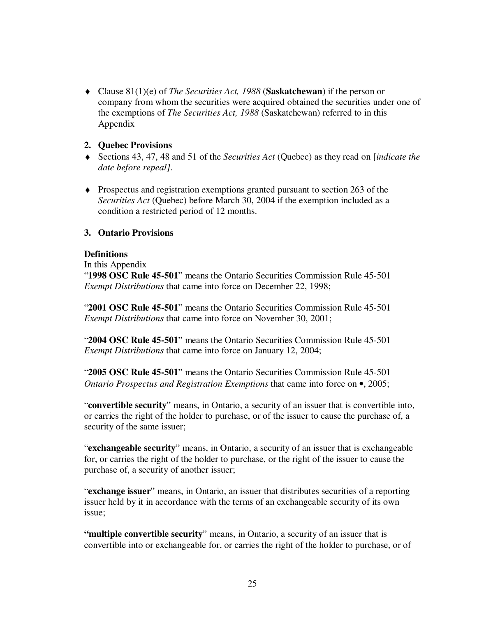♦ Clause 81(1)(e) of *The Securities Act, 1988* (**Saskatchewan**) if the person or company from whom the securities were acquired obtained the securities under one of the exemptions of *The Securities Act, 1988* (Saskatchewan) referred to in this Appendix

## **2. Quebec Provisions**

- ♦ Sections 43, 47, 48 and 51 of the *Securities Act* (Quebec) as they read on [*indicate the date before repeal]*.
- ♦ Prospectus and registration exemptions granted pursuant to section 263 of the *Securities Act* (Quebec) before March 30, 2004 if the exemption included as a condition a restricted period of 12 months.

# **3. Ontario Provisions**

## **Definitions**

In this Appendix

"**1998 OSC Rule 45-501**" means the Ontario Securities Commission Rule 45-501 *Exempt Distributions* that came into force on December 22, 1998;

"**2001 OSC Rule 45-501**" means the Ontario Securities Commission Rule 45-501 *Exempt Distributions* that came into force on November 30, 2001;

"**2004 OSC Rule 45-501**" means the Ontario Securities Commission Rule 45-501 *Exempt Distributions* that came into force on January 12, 2004;

"**2005 OSC Rule 45-501**" means the Ontario Securities Commission Rule 45-501 *Ontario Prospectus and Registration Exemptions* that came into force on •, 2005;

"**convertible security**" means, in Ontario, a security of an issuer that is convertible into, or carries the right of the holder to purchase, or of the issuer to cause the purchase of, a security of the same issuer;

"**exchangeable security**" means, in Ontario, a security of an issuer that is exchangeable for, or carries the right of the holder to purchase, or the right of the issuer to cause the purchase of, a security of another issuer;

"**exchange issuer**" means, in Ontario, an issuer that distributes securities of a reporting issuer held by it in accordance with the terms of an exchangeable security of its own issue;

**"multiple convertible security**" means, in Ontario, a security of an issuer that is convertible into or exchangeable for, or carries the right of the holder to purchase, or of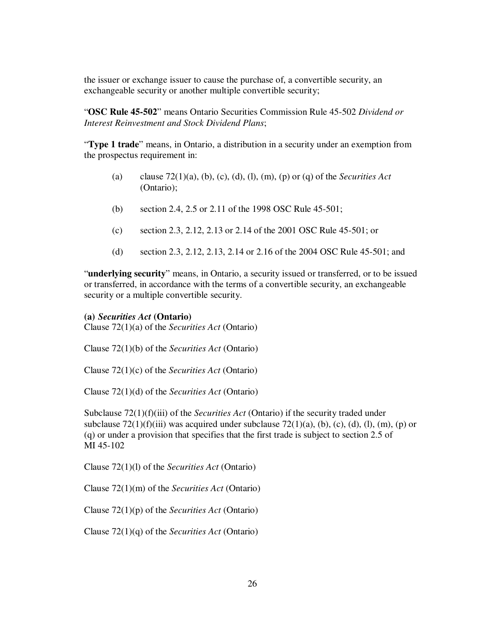the issuer or exchange issuer to cause the purchase of, a convertible security, an exchangeable security or another multiple convertible security;

"**OSC Rule 45-502**" means Ontario Securities Commission Rule 45-502 *Dividend or Interest Reinvestment and Stock Dividend Plans*;

"**Type 1 trade**" means, in Ontario, a distribution in a security under an exemption from the prospectus requirement in:

- (a) clause 72(1)(a), (b), (c), (d), (l), (m), (p) or (q) of the *Securities Act* (Ontario);
- (b) section 2.4, 2.5 or 2.11 of the 1998 OSC Rule 45-501;
- (c) section 2.3, 2.12, 2.13 or 2.14 of the 2001 OSC Rule 45-501; or
- (d) section 2.3, 2.12, 2.13, 2.14 or 2.16 of the 2004 OSC Rule 45-501; and

"**underlying security**" means, in Ontario, a security issued or transferred, or to be issued or transferred, in accordance with the terms of a convertible security, an exchangeable security or a multiple convertible security.

### **(a)** *Securities Act* **(Ontario)**

Clause 72(1)(a) of the *Securities Act* (Ontario)

Clause 72(1)(b) of the *Securities Act* (Ontario)

Clause 72(1)(c) of the *Securities Act* (Ontario)

Clause 72(1)(d) of the *Securities Act* (Ontario)

Subclause 72(1)(f)(iii) of the *Securities Act* (Ontario) if the security traded under subclause  $72(1)(f)(iii)$  was acquired under subclause  $72(1)(a)$ , (b), (c), (d), (l), (m), (p) or (q) or under a provision that specifies that the first trade is subject to section 2.5 of MI 45-102

Clause 72(1)(l) of the *Securities Act* (Ontario)

Clause 72(1)(m) of the *Securities Act* (Ontario)

Clause 72(1)(p) of the *Securities Act* (Ontario)

Clause 72(1)(q) of the *Securities Act* (Ontario)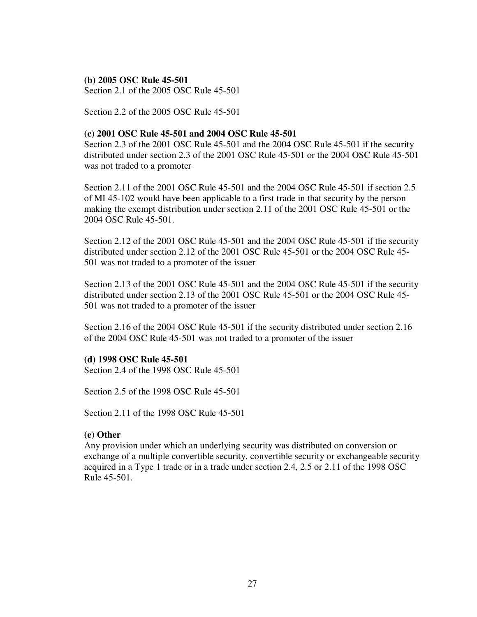### **(b) 2005 OSC Rule 45-501**

Section 2.1 of the 2005 OSC Rule 45-501

Section 2.2 of the 2005 OSC Rule 45-501

### **(c) 2001 OSC Rule 45-501 and 2004 OSC Rule 45-501**

Section 2.3 of the 2001 OSC Rule 45-501 and the 2004 OSC Rule 45-501 if the security distributed under section 2.3 of the 2001 OSC Rule 45-501 or the 2004 OSC Rule 45-501 was not traded to a promoter

Section 2.11 of the 2001 OSC Rule 45-501 and the 2004 OSC Rule 45-501 if section 2.5 of MI 45-102 would have been applicable to a first trade in that security by the person making the exempt distribution under section 2.11 of the 2001 OSC Rule 45-501 or the 2004 OSC Rule 45-501.

Section 2.12 of the 2001 OSC Rule 45-501 and the 2004 OSC Rule 45-501 if the security distributed under section 2.12 of the 2001 OSC Rule 45-501 or the 2004 OSC Rule 45- 501 was not traded to a promoter of the issuer

Section 2.13 of the 2001 OSC Rule 45-501 and the 2004 OSC Rule 45-501 if the security distributed under section 2.13 of the 2001 OSC Rule 45-501 or the 2004 OSC Rule 45- 501 was not traded to a promoter of the issuer

Section 2.16 of the 2004 OSC Rule 45-501 if the security distributed under section 2.16 of the 2004 OSC Rule 45-501 was not traded to a promoter of the issuer

### **(d) 1998 OSC Rule 45-501**

Section 2.4 of the 1998 OSC Rule 45-501

Section 2.5 of the 1998 OSC Rule 45-501

Section 2.11 of the 1998 OSC Rule 45-501

## **(e) Other**

Any provision under which an underlying security was distributed on conversion or exchange of a multiple convertible security, convertible security or exchangeable security acquired in a Type 1 trade or in a trade under section 2.4, 2.5 or 2.11 of the 1998 OSC Rule 45-501.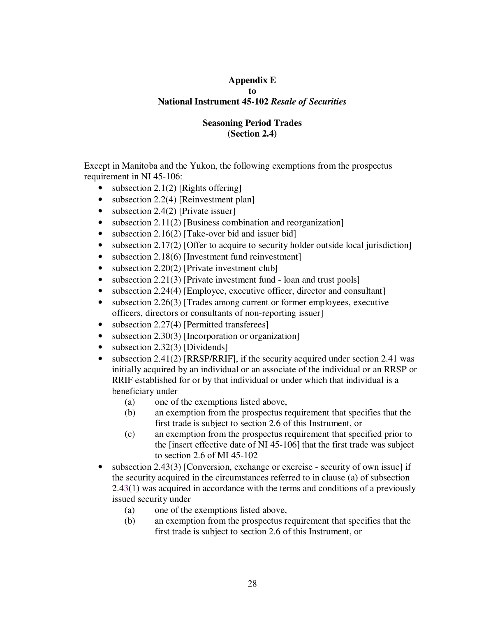# **Appendix E to National Instrument 45-102** *Resale of Securities*

# **Seasoning Period Trades (Section 2.4)**

Except in Manitoba and the Yukon, the following exemptions from the prospectus requirement in NI 45-106:

- subsection  $2.1(2)$  [Rights offering]
- subsection 2.2(4) [Reinvestment plan]
- subsection 2.4(2) [Private issuer]
- subsection 2.11(2) [Business combination and reorganization]
- subsection 2.16(2) [Take-over bid and issuer bid]
- subsection 2.17(2) [Offer to acquire to security holder outside local jurisdiction]
- subsection 2.18(6) [Investment fund reinvestment]
- subsection 2.20(2) [Private investment club]
- subsection  $2.21(3)$  [Private investment fund loan and trust pools]
- subsection 2.24(4) [Employee, executive officer, director and consultant]
- subsection 2.26(3) [Trades among current or former employees, executive officers, directors or consultants of non-reporting issuer]
- subsection 2.27(4) [Permitted transferees]
- subsection 2.30(3) [Incorporation or organization]
- subsection 2.32(3) [Dividends]
- subsection 2.41(2) [RRSP/RRIF], if the security acquired under section 2.41 was initially acquired by an individual or an associate of the individual or an RRSP or RRIF established for or by that individual or under which that individual is a beneficiary under
	- (a) one of the exemptions listed above,
	- (b) an exemption from the prospectus requirement that specifies that the first trade is subject to section 2.6 of this Instrument, or
	- (c) an exemption from the prospectus requirement that specified prior to the [insert effective date of NI 45-106] that the first trade was subject to section 2.6 of MI 45-102
- subsection 2.43(3) [Conversion, exchange or exercise security of own issue] if the security acquired in the circumstances referred to in clause (a) of subsection 2.43(1) was acquired in accordance with the terms and conditions of a previously issued security under
	- (a) one of the exemptions listed above,
	- (b) an exemption from the prospectus requirement that specifies that the first trade is subject to section 2.6 of this Instrument, or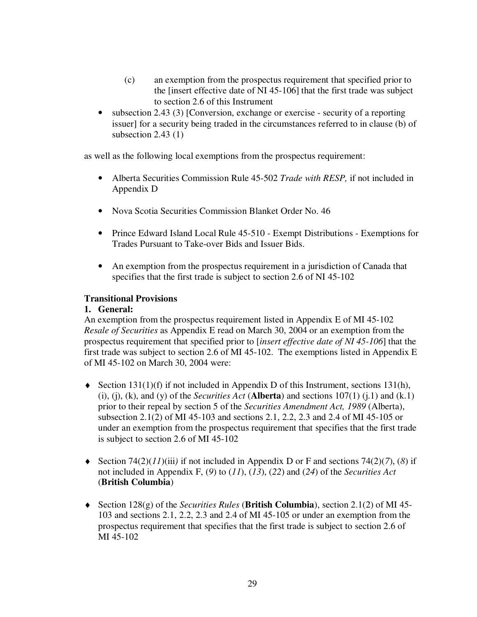- (c) an exemption from the prospectus requirement that specified prior to the [insert effective date of NI 45-106] that the first trade was subject to section 2.6 of this Instrument
- subsection 2.43 (3) [Conversion, exchange or exercise security of a reporting issuer] for a security being traded in the circumstances referred to in clause (b) of subsection 2.43 (1)

as well as the following local exemptions from the prospectus requirement:

- Alberta Securities Commission Rule 45-502 *Trade with RESP,* if not included in Appendix D
- Nova Scotia Securities Commission Blanket Order No. 46
- Prince Edward Island Local Rule 45-510 Exempt Distributions Exemptions for Trades Pursuant to Take-over Bids and Issuer Bids.
- An exemption from the prospectus requirement in a jurisdiction of Canada that specifies that the first trade is subject to section 2.6 of NI 45-102

# **Transitional Provisions**

# **1. General:**

An exemption from the prospectus requirement listed in Appendix E of MI 45-102 *Resale of Securities* as Appendix E read on March 30, 2004 or an exemption from the prospectus requirement that specified prior to [*insert effective date of NI 45-106*] that the first trade was subject to section 2.6 of MI 45-102. The exemptions listed in Appendix E of MI 45-102 on March 30, 2004 were:

- $\blacklozenge$  Section 131(1)(f) if not included in Appendix D of this Instrument, sections 131(h), (i), (j), (k), and (y) of the *Securities Act* (**Alberta**) and sections  $107(1)$  (j.1) and (k.1) prior to their repeal by section 5 of the *Securities Amendment Act, 1989* (Alberta), subsection 2.1(2) of MI 45-103 and sections 2.1, 2.2, 2.3 and 2.4 of MI 45-105 or under an exemption from the prospectus requirement that specifies that the first trade is subject to section 2.6 of MI 45-102
- $\blacklozenge$  Section 74(2)(*11*)(iii) if not included in Appendix D or F and sections 74(2)(*7*), (*8*) if not included in Appendix F, (*9*) to (*11*), (*13*), (*22*) and (*24*) of the *Securities Act* (**British Columbia**)
- ♦ Section 128(g) of the *Securities Rules* (**British Columbia**), section 2.1(2) of MI 45- 103 and sections 2.1, 2.2, 2.3 and 2.4 of MI 45-105 or under an exemption from the prospectus requirement that specifies that the first trade is subject to section 2.6 of MI 45-102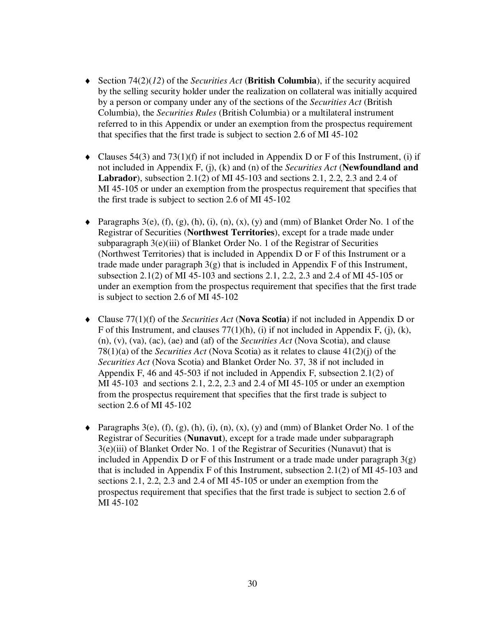- ♦ Section 74(2)(*12*) of the *Securities Act* (**British Columbia**), if the security acquired by the selling security holder under the realization on collateral was initially acquired by a person or company under any of the sections of the *Securities Act* (British Columbia), the *Securities Rules* (British Columbia) or a multilateral instrument referred to in this Appendix or under an exemption from the prospectus requirement that specifies that the first trade is subject to section 2.6 of MI 45-102
- $\blacklozenge$  Clauses 54(3) and 73(1)(f) if not included in Appendix D or F of this Instrument, (i) if not included in Appendix F, (j), (k) and (n) of the *Securities Act* (**Newfoundland and Labrador**), subsection 2.1(2) of MI 45-103 and sections 2.1, 2.2, 2.3 and 2.4 of MI 45-105 or under an exemption from the prospectus requirement that specifies that the first trade is subject to section 2.6 of MI 45-102
- $\blacklozenge$  Paragraphs 3(e), (f), (g), (h), (i), (n), (x), (y) and (mm) of Blanket Order No. 1 of the Registrar of Securities (**Northwest Territories**), except for a trade made under subparagraph 3(e)(iii) of Blanket Order No. 1 of the Registrar of Securities (Northwest Territories) that is included in Appendix D or F of this Instrument or a trade made under paragraph  $3(g)$  that is included in Appendix F of this Instrument, subsection 2.1(2) of MI 45-103 and sections 2.1, 2.2, 2.3 and 2.4 of MI 45-105 or under an exemption from the prospectus requirement that specifies that the first trade is subject to section 2.6 of MI 45-102
- ♦ Clause 77(1)(f) of the *Securities Act* (**Nova Scotia**) if not included in Appendix D or F of this Instrument, and clauses  $77(1)(h)$ , (i) if not included in Appendix F, (j), (k), (n), (v), (va), (ac), (ae) and (af) of the *Securities Act* (Nova Scotia), and clause 78(1)(a) of the *Securities Act* (Nova Scotia) as it relates to clause 41(2)(j) of the *Securities Act* (Nova Scotia) and Blanket Order No. 37, 38 if not included in Appendix F, 46 and 45-503 if not included in Appendix F, subsection 2.1(2) of MI 45-103 and sections 2.1, 2.2, 2.3 and 2.4 of MI 45-105 or under an exemption from the prospectus requirement that specifies that the first trade is subject to section 2.6 of MI 45-102
- $\blacklozenge$  Paragraphs 3(e), (f), (g), (h), (i), (n), (x), (y) and (mm) of Blanket Order No. 1 of the Registrar of Securities (**Nunavut**), except for a trade made under subparagraph 3(e)(iii) of Blanket Order No. 1 of the Registrar of Securities (Nunavut) that is included in Appendix D or F of this Instrument or a trade made under paragraph  $3(g)$ that is included in Appendix F of this Instrument, subsection 2.1(2) of MI 45-103 and sections 2.1, 2.2, 2.3 and 2.4 of MI 45-105 or under an exemption from the prospectus requirement that specifies that the first trade is subject to section 2.6 of MI 45-102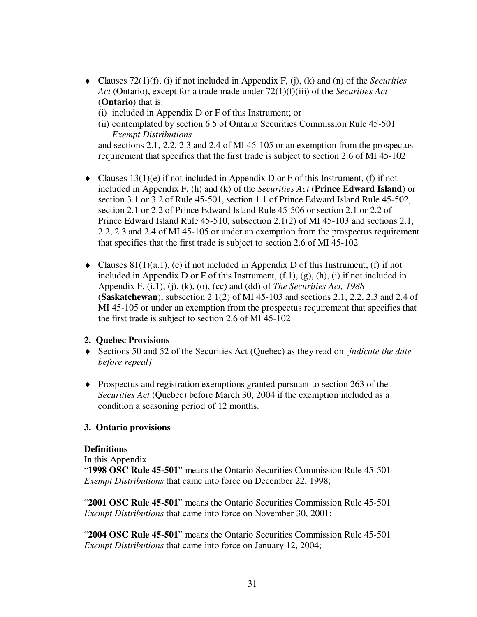- ♦ Clauses 72(1)(f), (i) if not included in Appendix F, (j), (k) and (n) of the *Securities Act* (Ontario), except for a trade made under 72(1)(f)(iii) of the *Securities Act* (**Ontario**) that is:
	- (i) included in Appendix D or F of this Instrument; or
	- (ii) contemplated by section 6.5 of Ontario Securities Commission Rule 45-501 *Exempt Distributions*

and sections 2.1, 2.2, 2.3 and 2.4 of MI 45-105 or an exemption from the prospectus requirement that specifies that the first trade is subject to section 2.6 of MI 45-102

- $\blacklozenge$  Clauses 13(1)(e) if not included in Appendix D or F of this Instrument, (f) if not included in Appendix F, (h) and (k) of the *Securities Act* (**Prince Edward Island**) or section 3.1 or 3.2 of Rule 45-501, section 1.1 of Prince Edward Island Rule 45-502, section 2.1 or 2.2 of Prince Edward Island Rule 45-506 or section 2.1 or 2.2 of Prince Edward Island Rule 45-510, subsection 2.1(2) of MI 45-103 and sections 2.1, 2.2, 2.3 and 2.4 of MI 45-105 or under an exemption from the prospectus requirement that specifies that the first trade is subject to section 2.6 of MI 45-102
- $\blacklozenge$  Clauses 81(1)(a.1), (e) if not included in Appendix D of this Instrument, (f) if not included in Appendix D or F of this Instrument,  $(f.1)$ ,  $(g)$ ,  $(h)$ ,  $(i)$  if not included in Appendix F, (i.1), (j), (k), (o), (cc) and (dd) of *The Securities Act, 1988* (**Saskatchewan**), subsection 2.1(2) of MI 45-103 and sections 2.1, 2.2, 2.3 and 2.4 of MI 45-105 or under an exemption from the prospectus requirement that specifies that the first trade is subject to section 2.6 of MI 45-102

## **2. Quebec Provisions**

- ♦ Sections 50 and 52 of the Securities Act (Quebec) as they read on [*indicate the date before repeal]*
- ♦ Prospectus and registration exemptions granted pursuant to section 263 of the *Securities Act* (Quebec) before March 30, 2004 if the exemption included as a condition a seasoning period of 12 months.

## **3. Ontario provisions**

## **Definitions**

In this Appendix

"**1998 OSC Rule 45-501**" means the Ontario Securities Commission Rule 45-501 *Exempt Distributions* that came into force on December 22, 1998;

"**2001 OSC Rule 45-501**" means the Ontario Securities Commission Rule 45-501 *Exempt Distributions* that came into force on November 30, 2001;

"**2004 OSC Rule 45-501**" means the Ontario Securities Commission Rule 45-501 *Exempt Distributions* that came into force on January 12, 2004;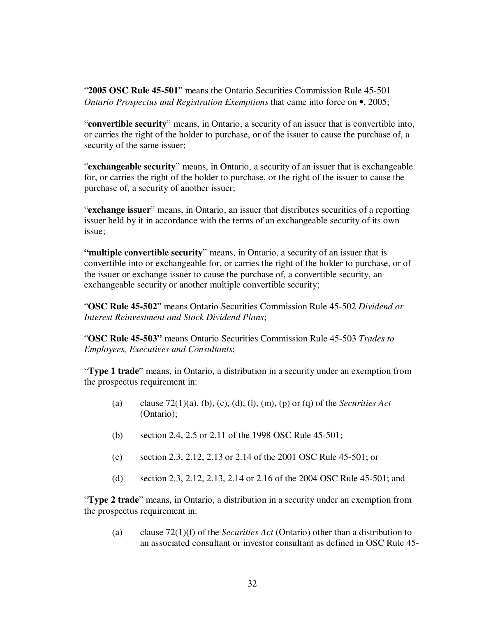"**2005 OSC Rule 45-501**" means the Ontario Securities Commission Rule 45-501 *Ontario Prospectus and Registration Exemptions* that came into force on •, 2005;

"**convertible security**" means, in Ontario, a security of an issuer that is convertible into, or carries the right of the holder to purchase, or of the issuer to cause the purchase of, a security of the same issuer;

"**exchangeable security**" means, in Ontario, a security of an issuer that is exchangeable for, or carries the right of the holder to purchase, or the right of the issuer to cause the purchase of, a security of another issuer;

"**exchange issuer**" means, in Ontario, an issuer that distributes securities of a reporting issuer held by it in accordance with the terms of an exchangeable security of its own issue;

**"multiple convertible security**" means, in Ontario, a security of an issuer that is convertible into or exchangeable for, or carries the right of the holder to purchase, or of the issuer or exchange issuer to cause the purchase of, a convertible security, an exchangeable security or another multiple convertible security;

"**OSC Rule 45-502**" means Ontario Securities Commission Rule 45-502 *Dividend or Interest Reinvestment and Stock Dividend Plans*;

"**OSC Rule 45-503"** means Ontario Securities Commission Rule 45-503 *Trades to Employees, Executives and Consultants*;

"**Type 1 trade**" means, in Ontario, a distribution in a security under an exemption from the prospectus requirement in:

- (a) clause 72(1)(a), (b), (c), (d), (l), (m), (p) or (q) of the *Securities Act* (Ontario);
- (b) section 2.4, 2.5 or 2.11 of the 1998 OSC Rule 45-501;
- (c) section 2.3, 2.12, 2.13 or 2.14 of the 2001 OSC Rule 45-501; or
- (d) section 2.3, 2.12, 2.13, 2.14 or 2.16 of the 2004 OSC Rule 45-501; and

"**Type 2 trade**" means, in Ontario, a distribution in a security under an exemption from the prospectus requirement in:

(a) clause 72(1)(f) of the *Securities Act* (Ontario) other than a distribution to an associated consultant or investor consultant as defined in OSC Rule 45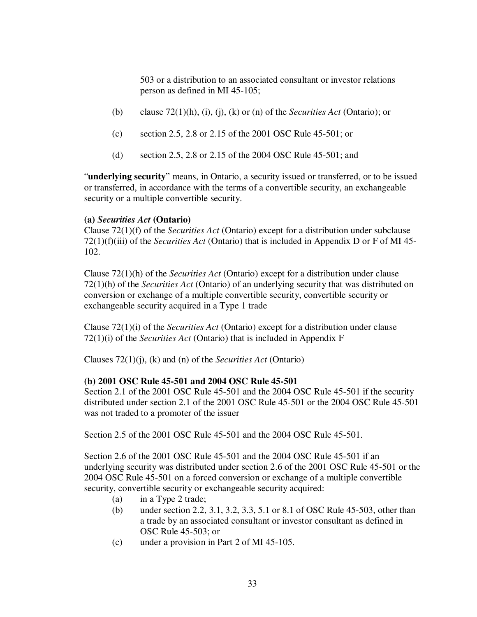503 or a distribution to an associated consultant or investor relations person as defined in MI 45-105;

- (b) clause 72(1)(h), (i), (j), (k) or (n) of the *Securities Act* (Ontario); or
- (c) section 2.5, 2.8 or 2.15 of the 2001 OSC Rule 45-501; or
- (d) section 2.5, 2.8 or 2.15 of the 2004 OSC Rule 45-501; and

"**underlying security**" means, in Ontario, a security issued or transferred, or to be issued or transferred, in accordance with the terms of a convertible security, an exchangeable security or a multiple convertible security.

# **(a)** *Securities Act* **(Ontario)**

Clause 72(1)(f) of the *Securities Act* (Ontario) except for a distribution under subclause 72(1)(f)(iii) of the *Securities Act* (Ontario) that is included in Appendix D or F of MI 45- 102.

Clause 72(1)(h) of the *Securities Act* (Ontario) except for a distribution under clause 72(1)(h) of the *Securities Act* (Ontario) of an underlying security that was distributed on conversion or exchange of a multiple convertible security, convertible security or exchangeable security acquired in a Type 1 trade

Clause 72(1)(i) of the *Securities Act* (Ontario) except for a distribution under clause 72(1)(i) of the *Securities Act* (Ontario) that is included in Appendix F

Clauses 72(1)(j), (k) and (n) of the *Securities Act* (Ontario)

# **(b) 2001 OSC Rule 45-501 and 2004 OSC Rule 45-501**

Section 2.1 of the 2001 OSC Rule 45-501 and the 2004 OSC Rule 45-501 if the security distributed under section 2.1 of the 2001 OSC Rule 45-501 or the 2004 OSC Rule 45-501 was not traded to a promoter of the issuer

Section 2.5 of the 2001 OSC Rule 45-501 and the 2004 OSC Rule 45-501.

Section 2.6 of the 2001 OSC Rule 45-501 and the 2004 OSC Rule 45-501 if an underlying security was distributed under section 2.6 of the 2001 OSC Rule 45-501 or the 2004 OSC Rule 45-501 on a forced conversion or exchange of a multiple convertible security, convertible security or exchangeable security acquired:

- (a) in a Type 2 trade;
- (b) under section 2.2, 3.1, 3.2, 3.3, 5.1 or 8.1 of OSC Rule 45-503, other than a trade by an associated consultant or investor consultant as defined in OSC Rule 45-503; or
- (c) under a provision in Part 2 of MI 45-105.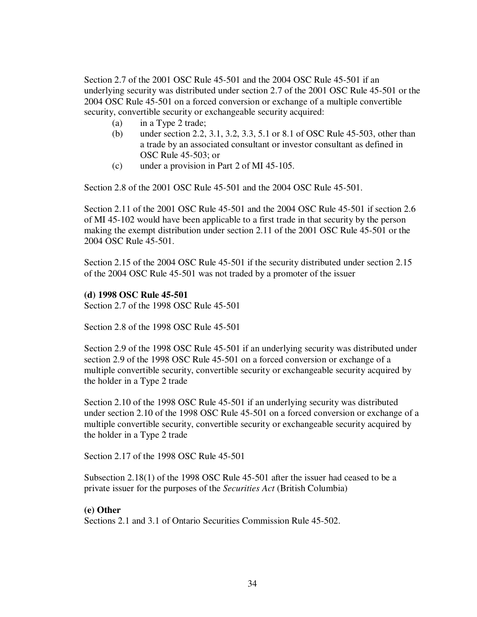Section 2.7 of the 2001 OSC Rule 45-501 and the 2004 OSC Rule 45-501 if an underlying security was distributed under section 2.7 of the 2001 OSC Rule 45-501 or the 2004 OSC Rule 45-501 on a forced conversion or exchange of a multiple convertible security, convertible security or exchangeable security acquired:

- (a) in a Type 2 trade;
- (b) under section 2.2, 3.1, 3.2, 3.3, 5.1 or 8.1 of OSC Rule 45-503, other than a trade by an associated consultant or investor consultant as defined in OSC Rule 45-503; or
- (c) under a provision in Part 2 of MI 45-105.

Section 2.8 of the 2001 OSC Rule 45-501 and the 2004 OSC Rule 45-501.

Section 2.11 of the 2001 OSC Rule 45-501 and the 2004 OSC Rule 45-501 if section 2.6 of MI 45-102 would have been applicable to a first trade in that security by the person making the exempt distribution under section 2.11 of the 2001 OSC Rule 45-501 or the 2004 OSC Rule 45-501.

Section 2.15 of the 2004 OSC Rule 45-501 if the security distributed under section 2.15 of the 2004 OSC Rule 45-501 was not traded by a promoter of the issuer

### **(d) 1998 OSC Rule 45-501**

Section 2.7 of the 1998 OSC Rule 45-501

Section 2.8 of the 1998 OSC Rule 45-501

Section 2.9 of the 1998 OSC Rule 45-501 if an underlying security was distributed under section 2.9 of the 1998 OSC Rule 45-501 on a forced conversion or exchange of a multiple convertible security, convertible security or exchangeable security acquired by the holder in a Type 2 trade

Section 2.10 of the 1998 OSC Rule 45-501 if an underlying security was distributed under section 2.10 of the 1998 OSC Rule 45-501 on a forced conversion or exchange of a multiple convertible security, convertible security or exchangeable security acquired by the holder in a Type 2 trade

Section 2.17 of the 1998 OSC Rule 45-501

Subsection 2.18(1) of the 1998 OSC Rule 45-501 after the issuer had ceased to be a private issuer for the purposes of the *Securities Act* (British Columbia)

## **(e) Other**

Sections 2.1 and 3.1 of Ontario Securities Commission Rule 45-502.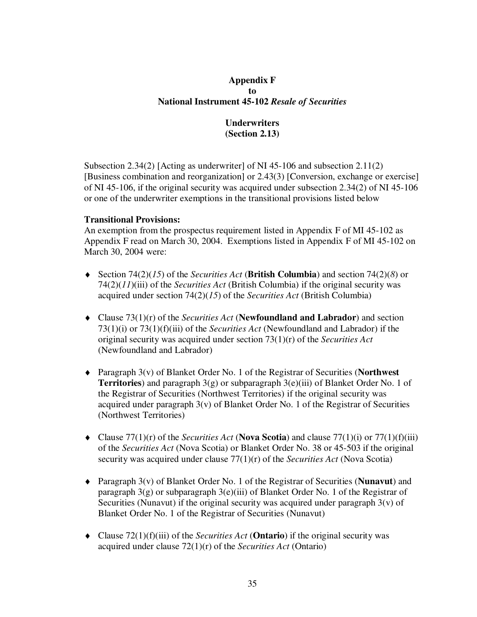# **Appendix F to National Instrument 45-102** *Resale of Securities*

# **Underwriters (Section 2.13)**

Subsection 2.34(2) [Acting as underwriter] of NI 45-106 and subsection 2.11(2) [Business combination and reorganization] or 2.43(3) [Conversion, exchange or exercise] of NI 45-106, if the original security was acquired under subsection 2.34(2) of NI 45-106 or one of the underwriter exemptions in the transitional provisions listed below

## **Transitional Provisions:**

An exemption from the prospectus requirement listed in Appendix F of MI 45-102 as Appendix F read on March 30, 2004. Exemptions listed in Appendix F of MI 45-102 on March 30, 2004 were:

- ♦ Section 74(2)(*15*) of the *Securities Act* (**British Columbia**) and section 74(2)(*8*) or 74(2)(*11*)(iii) of the *Securities Act* (British Columbia) if the original security was acquired under section 74(2)(*15*) of the *Securities Act* (British Columbia)
- ♦ Clause 73(1)(r) of the *Securities Act* (**Newfoundland and Labrador**) and section 73(1)(i) or 73(1)(f)(iii) of the *Securities Act* (Newfoundland and Labrador) if the original security was acquired under section 73(1)(r) of the *Securities Act* (Newfoundland and Labrador)
- ♦ Paragraph 3(v) of Blanket Order No. 1 of the Registrar of Securities (**Northwest Territories**) and paragraph 3(g) or subparagraph 3(e)(iii) of Blanket Order No. 1 of the Registrar of Securities (Northwest Territories) if the original security was acquired under paragraph  $3(v)$  of Blanket Order No. 1 of the Registrar of Securities (Northwest Territories)
- $\blacklozenge$  Clause 77(1)(r) of the *Securities Act* (**Nova Scotia**) and clause 77(1)(i) or 77(1)(f)(iii) of the *Securities Act* (Nova Scotia) or Blanket Order No. 38 or 45-503 if the original security was acquired under clause 77(1)(r) of the *Securities Act* (Nova Scotia)
- ♦ Paragraph 3(v) of Blanket Order No. 1 of the Registrar of Securities (**Nunavut**) and paragraph  $3(g)$  or subparagraph  $3(e)$ (iii) of Blanket Order No. 1 of the Registrar of Securities (Nunavut) if the original security was acquired under paragraph  $3(v)$  of Blanket Order No. 1 of the Registrar of Securities (Nunavut)
- ♦ Clause 72(1)(f)(iii) of the *Securities Act* (**Ontario**) if the original security was acquired under clause 72(1)(r) of the *Securities Act* (Ontario)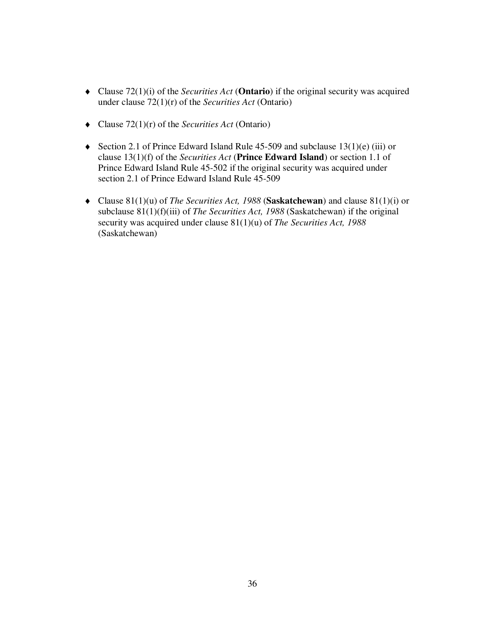- ♦ Clause 72(1)(i) of the *Securities Act* (**Ontario**) if the original security was acquired under clause 72(1)(r) of the *Securities Act* (Ontario)
- ♦ Clause 72(1)(r) of the *Securities Act* (Ontario)
- ♦ Section 2.1 of Prince Edward Island Rule 45-509 and subclause 13(1)(e) (iii) or clause 13(1)(f) of the *Securities Act* (**Prince Edward Island**) or section 1.1 of Prince Edward Island Rule 45-502 if the original security was acquired under section 2.1 of Prince Edward Island Rule 45-509
- ♦ Clause 81(1)(u) of *The Securities Act, 1988* (**Saskatchewan**) and clause 81(1)(i) or subclause 81(1)(f)(iii) of *The Securities Act, 1988* (Saskatchewan) if the original security was acquired under clause 81(1)(u) of *The Securities Act, 1988* (Saskatchewan)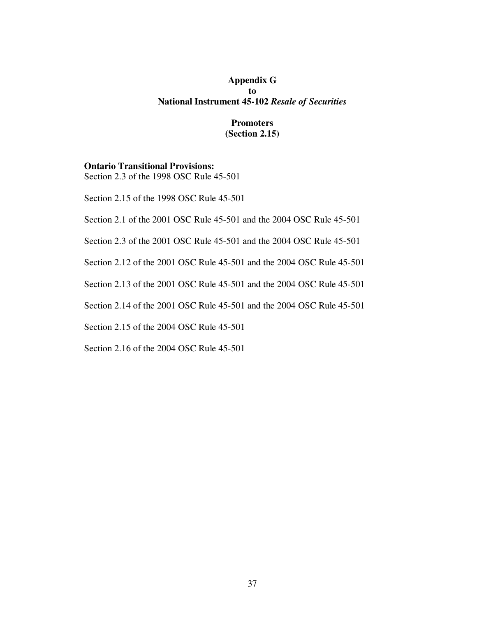## **Appendix G to National Instrument 45-102** *Resale of Securities*

## **Promoters (Section 2.15)**

#### **Ontario Transitional Provisions:** Section 2.3 of the 1998 OSC Rule 45-501

Section 2.15 of the 1998 OSC Rule 45-501

Section 2.1 of the 2001 OSC Rule 45-501 and the 2004 OSC Rule 45-501

Section 2.3 of the 2001 OSC Rule 45-501 and the 2004 OSC Rule 45-501

Section 2.12 of the 2001 OSC Rule 45-501 and the 2004 OSC Rule 45-501

Section 2.13 of the 2001 OSC Rule 45-501 and the 2004 OSC Rule 45-501

Section 2.14 of the 2001 OSC Rule 45-501 and the 2004 OSC Rule 45-501

Section 2.15 of the 2004 OSC Rule 45-501

Section 2.16 of the 2004 OSC Rule 45-501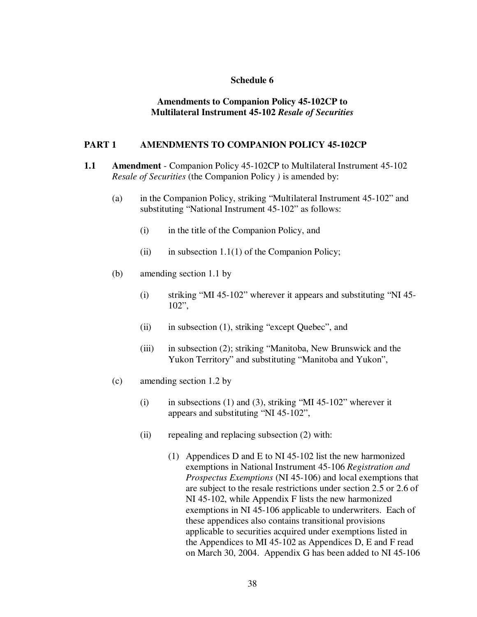### **Schedule 6**

### **Amendments to Companion Policy 45-102CP to Multilateral Instrument 45-102** *Resale of Securities*

### **PART 1 AMENDMENTS TO COMPANION POLICY 45-102CP**

- **1.1 Amendment** Companion Policy 45-102CP to Multilateral Instrument 45-102 *Resale of Securities* (the Companion Policy *)* is amended by:
	- (a) in the Companion Policy, striking "Multilateral Instrument 45-102" and substituting "National Instrument 45-102" as follows:
		- (i) in the title of the Companion Policy, and
		- (ii) in subsection  $1.1(1)$  of the Companion Policy;
	- (b) amending section 1.1 by
		- (i) striking "MI 45-102" wherever it appears and substituting "NI 45- 102",
		- (ii) in subsection (1), striking "except Quebec", and
		- (iii) in subsection (2); striking "Manitoba, New Brunswick and the Yukon Territory" and substituting "Manitoba and Yukon",
	- (c) amending section 1.2 by
		- (i) in subsections (1) and (3), striking "MI 45-102" wherever it appears and substituting "NI 45-102",
		- (ii) repealing and replacing subsection (2) with:
			- (1) Appendices D and E to NI 45-102 list the new harmonized exemptions in National Instrument 45-106 *Registration and Prospectus Exemptions* (NI 45-106) and local exemptions that are subject to the resale restrictions under section 2.5 or 2.6 of NI 45-102, while Appendix F lists the new harmonized exemptions in NI 45-106 applicable to underwriters. Each of these appendices also contains transitional provisions applicable to securities acquired under exemptions listed in the Appendices to MI 45-102 as Appendices D, E and F read on March 30, 2004. Appendix G has been added to NI 45-106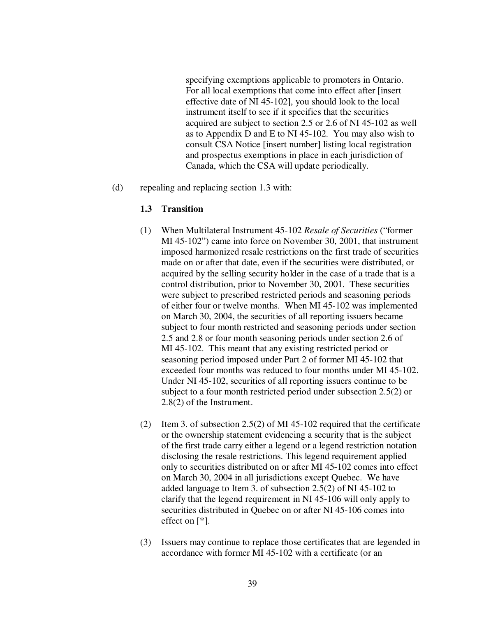specifying exemptions applicable to promoters in Ontario. For all local exemptions that come into effect after [insert effective date of NI 45-102], you should look to the local instrument itself to see if it specifies that the securities acquired are subject to section 2.5 or 2.6 of NI 45-102 as well as to Appendix D and E to NI 45-102. You may also wish to consult CSA Notice [insert number] listing local registration and prospectus exemptions in place in each jurisdiction of Canada, which the CSA will update periodically.

(d) repealing and replacing section 1.3 with:

### **1.3 Transition**

- (1) When Multilateral Instrument 45-102 *Resale of Securities* ("former MI 45-102") came into force on November 30, 2001, that instrument imposed harmonized resale restrictions on the first trade of securities made on or after that date, even if the securities were distributed, or acquired by the selling security holder in the case of a trade that is a control distribution, prior to November 30, 2001. These securities were subject to prescribed restricted periods and seasoning periods of either four or twelve months. When MI 45-102 was implemented on March 30, 2004, the securities of all reporting issuers became subject to four month restricted and seasoning periods under section 2.5 and 2.8 or four month seasoning periods under section 2.6 of MI 45-102. This meant that any existing restricted period or seasoning period imposed under Part 2 of former MI 45-102 that exceeded four months was reduced to four months under MI 45-102. Under NI 45-102, securities of all reporting issuers continue to be subject to a four month restricted period under subsection 2.5(2) or 2.8(2) of the Instrument.
- (2) Item 3. of subsection 2.5(2) of MI 45-102 required that the certificate or the ownership statement evidencing a security that is the subject of the first trade carry either a legend or a legend restriction notation disclosing the resale restrictions. This legend requirement applied only to securities distributed on or after MI 45-102 comes into effect on March 30, 2004 in all jurisdictions except Quebec. We have added language to Item 3. of subsection 2.5(2) of NI 45-102 to clarify that the legend requirement in NI 45-106 will only apply to securities distributed in Quebec on or after NI 45-106 comes into effect on [\*].
- (3) Issuers may continue to replace those certificates that are legended in accordance with former MI 45-102 with a certificate (or an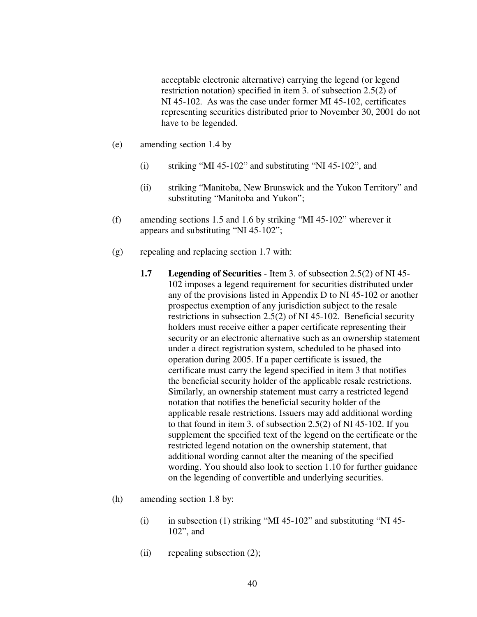acceptable electronic alternative) carrying the legend (or legend restriction notation) specified in item 3. of subsection 2.5(2) of NI 45-102. As was the case under former MI 45-102, certificates representing securities distributed prior to November 30, 2001 do not have to be legended.

- (e) amending section 1.4 by
	- (i) striking "MI 45-102" and substituting "NI 45-102", and
	- (ii) striking "Manitoba, New Brunswick and the Yukon Territory" and substituting "Manitoba and Yukon";
- (f) amending sections 1.5 and 1.6 by striking "MI 45-102" wherever it appears and substituting "NI 45-102";
- (g) repealing and replacing section 1.7 with:
	- **1.7 Legending of Securities** Item 3. of subsection 2.5(2) of NI 45- 102 imposes a legend requirement for securities distributed under any of the provisions listed in Appendix D to NI 45-102 or another prospectus exemption of any jurisdiction subject to the resale restrictions in subsection 2.5(2) of NI 45-102. Beneficial security holders must receive either a paper certificate representing their security or an electronic alternative such as an ownership statement under a direct registration system, scheduled to be phased into operation during 2005. If a paper certificate is issued, the certificate must carry the legend specified in item 3 that notifies the beneficial security holder of the applicable resale restrictions. Similarly, an ownership statement must carry a restricted legend notation that notifies the beneficial security holder of the applicable resale restrictions. Issuers may add additional wording to that found in item 3. of subsection 2.5(2) of NI 45-102. If you supplement the specified text of the legend on the certificate or the restricted legend notation on the ownership statement, that additional wording cannot alter the meaning of the specified wording. You should also look to section 1.10 for further guidance on the legending of convertible and underlying securities.
- (h) amending section 1.8 by:
	- (i) in subsection (1) striking "MI 45-102" and substituting "NI 45-102", and
	- (ii) repealing subsection (2);